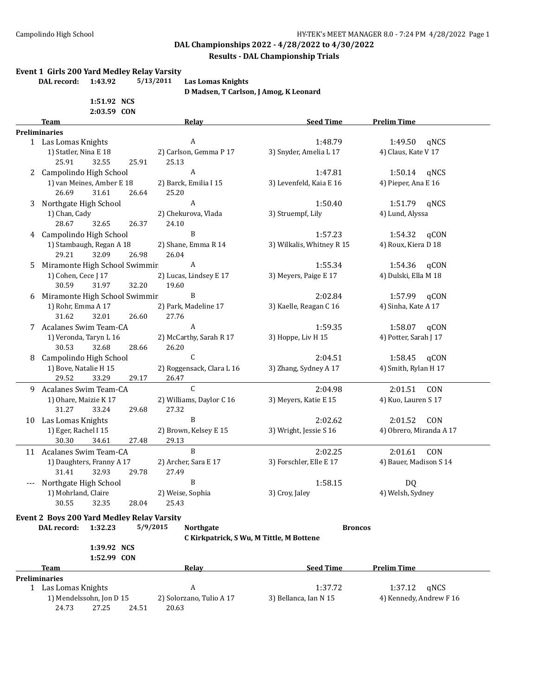#### **Results - DAL Championship Trials**

#### **Event 1 Girls 200 Yard Medley Relay Varsity**

**DAL record: 1:43.92 5/13/2011 Las Lomas Knights**

**D Madsen, T Carlson, J Amog, K Leonard**

**1:51.92 NCS 2:03.59 CON**

|   | 2:03.39 LUN<br>Team                               | Relay                                    | <b>Seed Time</b>          | <b>Prelim Time</b>      |
|---|---------------------------------------------------|------------------------------------------|---------------------------|-------------------------|
|   | Preliminaries                                     |                                          |                           |                         |
|   | 1 Las Lomas Knights                               | A                                        | 1:48.79                   | 1:49.50<br>qNCS         |
|   | 1) Statler, Nina E 18                             | 2) Carlson, Gemma P 17                   | 3) Snyder, Amelia L 17    | 4) Claus, Kate V 17     |
|   | 25.91<br>32.55<br>25.91                           | 25.13                                    |                           |                         |
|   | 2 Campolindo High School                          | $\boldsymbol{A}$                         | 1:47.81                   | 1:50.14 gNCS            |
|   | 1) van Meines, Amber E 18                         | 2) Barck, Emilia I 15                    | 3) Levenfeld, Kaia E 16   | 4) Pieper, Ana E 16     |
|   | 26.69<br>31.61<br>26.64                           | 25.20                                    |                           |                         |
| 3 | Northgate High School                             | $\boldsymbol{A}$                         | 1:50.40                   | 1:51.79 gNCS            |
|   | 1) Chan, Cady                                     | 2) Chekurova, Vlada                      | 3) Struempf, Lily         | 4) Lund, Alyssa         |
|   | 28.67<br>32.65<br>26.37                           | 24.10                                    |                           |                         |
|   | 4 Campolindo High School                          | B                                        | 1:57.23                   | 1:54.32<br>qCON         |
|   | 1) Stambaugh, Regan A 18                          | 2) Shane, Emma R 14                      | 3) Wilkalis, Whitney R 15 | 4) Roux, Kiera D 18     |
|   | 29.21<br>32.09<br>26.98                           | 26.04                                    |                           |                         |
| 5 | Miramonte High School Swimmir                     | $\boldsymbol{A}$                         | 1:55.34                   | 1:54.36<br>qCON         |
|   | 1) Cohen, Cece J 17                               | 2) Lucas, Lindsey E 17                   | 3) Meyers, Paige E 17     | 4) Dulski, Ella M 18    |
|   | 30.59<br>32.20<br>31.97                           | 19.60                                    |                           |                         |
|   |                                                   | B                                        |                           |                         |
| 6 | Miramonte High School Swimmir                     |                                          | 2:02.84                   | 1:57.99 qCON            |
|   | 1) Rohr, Emma A 17                                | 2) Park, Madeline 17                     | 3) Kaelle, Reagan C 16    | 4) Sinha, Kate A 17     |
|   | 31.62<br>32.01<br>26.60                           | 27.76                                    |                           |                         |
|   | 7 Acalanes Swim Team-CA                           | $\boldsymbol{A}$                         | 1:59.35                   | 1:58.07<br>qCON         |
|   | 1) Veronda, Taryn L 16                            | 2) McCarthy, Sarah R 17                  | 3) Hoppe, Liv H 15        | 4) Potter, Sarah J 17   |
|   | 30.53<br>32.68<br>28.66                           | 26.20                                    |                           |                         |
| 8 | Campolindo High School                            | C                                        | 2:04.51                   | 1:58.45<br>qCON         |
|   | 1) Bove, Natalie H 15                             | 2) Roggensack, Clara L 16                | 3) Zhang, Sydney A 17     | 4) Smith, Rylan H 17    |
|   | 29.52<br>33.29<br>29.17                           | 26.47                                    |                           |                         |
|   | 9 Acalanes Swim Team-CA                           | $\mathsf{C}$                             | 2:04.98                   | 2:01.51<br>CON          |
|   | 1) Ohare, Maizie K 17                             | 2) Williams, Daylor C 16                 | 3) Meyers, Katie E 15     | 4) Kuo, Lauren S 17     |
|   | 31.27<br>33.24<br>29.68                           | 27.32                                    |                           |                         |
|   | 10 Las Lomas Knights                              | B                                        | 2:02.62                   | 2:01.52<br>CON          |
|   | 1) Eger, Rachel I 15                              | 2) Brown, Kelsey E 15                    | 3) Wright, Jessie S 16    | 4) Obrero, Miranda A 17 |
|   | 30.30<br>34.61<br>27.48                           | 29.13                                    |                           |                         |
|   | 11 Acalanes Swim Team-CA                          | B                                        | 2:02.25                   | 2:01.61<br>CON          |
|   | 1) Daughters, Franny A 17                         | 2) Archer, Sara E 17                     | 3) Forschler, Elle E 17   | 4) Bauer, Madison S 14  |
|   | 31.41<br>32.93<br>29.78                           | 27.49                                    |                           |                         |
|   |                                                   | B                                        | 1:58.15                   |                         |
|   | Northgate High School                             |                                          |                           | <b>DQ</b>               |
|   | 1) Mohrland, Claire                               | 2) Weise, Sophia                         | 3) Croy, Jaley            | 4) Welsh, Sydney        |
|   | 30.55<br>32.35<br>28.04                           | 25.43                                    |                           |                         |
|   | <b>Event 2 Boys 200 Yard Medley Relay Varsity</b> |                                          |                           |                         |
|   | DAL record:<br>1:32.23                            | 5/9/2015<br><b>Northgate</b>             | <b>Broncos</b>            |                         |
|   |                                                   | C Kirkpatrick, S Wu, M Tittle, M Bottene |                           |                         |
|   | 1:39.92 NCS                                       |                                          |                           |                         |
|   | 1:52.99 CON                                       |                                          |                           |                         |
|   | Team                                              | <b>Relay</b>                             | <b>Seed Time</b>          | <b>Prelim Time</b>      |
|   | <b>Preliminaries</b>                              |                                          |                           |                         |
|   | 1 Las Lomas Knights                               | A                                        | 1:37.72                   | 1:37.12<br>gNCS         |
|   | 1) Mendelssohn, Jon D 15                          | 2) Solorzano, Tulio A 17                 | 3) Bellanca, Ian N 15     | 4) Kennedy, Andrew F 16 |
|   | 27.25<br>24.73<br>24.51                           | 20.63                                    |                           |                         |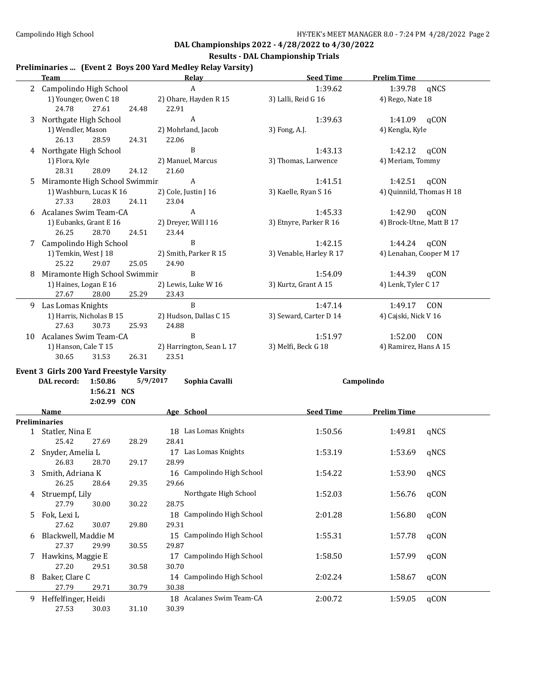#### **Results - DAL Championship Trials**

### **Preliminaries ... (Event 2 Boys 200 Yard Medley Relay Varsity)**

|    | <b>Team</b>                              |       | <b>Relay</b>                   | <b>Seed Time</b>        | <b>Prelim Time</b>       |
|----|------------------------------------------|-------|--------------------------------|-------------------------|--------------------------|
|    | 2 Campolindo High School                 |       | $\boldsymbol{A}$               | 1:39.62                 | 1:39.78<br>qNCS          |
|    | 1) Younger, Owen C 18<br>24.78<br>27.61  | 24.48 | 2) Ohare, Hayden R 15<br>22.91 | 3) Lalli, Reid G 16     | 4) Rego, Nate 18         |
| 3  | Northgate High School                    |       | $\boldsymbol{A}$               | 1:39.63                 | qCON<br>1:41.09          |
|    | 1) Wendler, Mason                        |       | 2) Mohrland, Jacob             | 3) Fong, A.J.           | 4) Kengla, Kyle          |
|    | 26.13<br>28.59                           | 24.31 | 22.06                          |                         |                          |
|    | 4 Northgate High School                  |       | B                              | 1:43.13                 | 1:42.12<br>qCON          |
|    | 1) Flora, Kyle                           |       | 2) Manuel, Marcus              | 3) Thomas, Larwence     | 4) Meriam, Tommy         |
|    | 28.31<br>28.09                           | 24.12 | 21.60                          |                         |                          |
| 5  | Miramonte High School Swimmir            |       | A                              | 1:41.51                 | 1:42.51<br>qCON          |
|    | 1) Washburn, Lucas K 16                  |       | 2) Cole, Justin J 16           | 3) Kaelle, Ryan S 16    | 4) Quinnild, Thomas H 18 |
|    | 27.33<br>28.03                           | 24.11 | 23.04                          |                         |                          |
|    |                                          |       |                                |                         |                          |
| 6  | Acalanes Swim Team-CA                    |       | $\boldsymbol{A}$               | 1:45.33                 | 1:42.90<br>qCON          |
|    | 1) Eubanks, Grant E 16<br>28.70          |       | 2) Dreyer, Will I 16<br>23.44  | 3) Etnyre, Parker R 16  | 4) Brock-Utne, Matt B 17 |
|    | 26.25                                    | 24.51 | $\, {\bf B}$                   |                         |                          |
| 7  | Campolindo High School                   |       |                                | 1:42.15                 | 1:44.24<br>qCON          |
|    | 1) Temkin, West J 18                     |       | 2) Smith, Parker R 15          | 3) Venable, Harley R 17 | 4) Lenahan, Cooper M 17  |
|    | 25.22<br>29.07                           | 25.05 | 24.90                          |                         |                          |
| 8  | Miramonte High School Swimmir            |       | B                              | 1:54.09                 | 1:44.39<br>qCON          |
|    | 1) Haines, Logan E 16                    |       | 2) Lewis, Luke W 16            | 3) Kurtz, Grant A 15    | 4) Lenk, Tyler C 17      |
|    | 27.67<br>28.00                           | 25.29 | 23.43                          |                         |                          |
|    | 9 Las Lomas Knights                      |       | B                              | 1:47.14                 | 1:49.17<br>CON           |
|    | 1) Harris, Nicholas B 15                 |       | 2) Hudson, Dallas C 15         | 3) Seward, Carter D 14  | 4) Cajski, Nick V 16     |
|    | 27.63<br>30.73                           | 25.93 | 24.88                          |                         |                          |
| 10 | Acalanes Swim Team-CA                    |       | B                              | 1:51.97                 | 1:52.00<br>CON           |
|    | 1) Hanson, Cale T 15                     |       | 2) Harrington, Sean L 17       | 3) Melfi, Beck G 18     | 4) Ramirez, Hans A 15    |
|    | 30.65<br>31.53                           | 26.31 | 23.51                          |                         |                          |
|    | Event 3 Girls 200 Yard Freestyle Varsity |       |                                |                         |                          |
|    | DAL record:<br>1:50.86                   |       | 5/9/2017<br>Sophia Cavalli     |                         | Campolindo               |
|    | 1:56.21 NCS                              |       |                                |                         |                          |
|    | 2:02.99 CON                              |       |                                |                         |                          |
|    | Name                                     |       | Age School                     | <b>Seed Time</b>        | <b>Prelim Time</b>       |
|    | <b>Preliminaries</b>                     |       |                                |                         |                          |
|    | 1 Statler, Nina E                        |       | 18 Las Lomas Knights           | 1:50.56                 | 1:49.81<br>qNCS          |
|    | 25.42<br>27.69                           | 28.29 | 28.41                          |                         |                          |
| 2  | Snyder, Amelia L                         |       | 17 Las Lomas Knights           | 1:53.19                 | 1:53.69<br>qNCS          |
|    | 26.83<br>28.70                           | 29.17 | 28.99                          |                         |                          |
| 3  | Smith, Adriana K                         |       | 16 Campolindo High School      | 1:54.22                 | 1:53.90<br>qNCS          |
|    | 26.25<br>28.64                           | 29.35 | 29.66                          |                         |                          |
|    | Struempf, Lily                           |       | Northgate High School          | 1:52.03                 | qCON<br>1:56.76          |
| 4  | 27.79<br>30.00                           | 30.22 | 28.75                          |                         |                          |
|    |                                          |       |                                |                         |                          |
| 5. | Fok, Lexi L                              |       | 18 Campolindo High School      | 2:01.28                 | qCON<br>1:56.80          |
|    | 27.62<br>30.07                           | 29.80 | 29.31                          |                         |                          |
| 6  | Blackwell, Maddie M                      |       | 15 Campolindo High School      | 1:55.31                 | qCON<br>1:57.78          |
|    | 27.37<br>29.99                           | 30.55 | 29.87                          |                         |                          |
| 7  | Hawkins, Maggie E                        |       | 17 Campolindo High School      | 1:58.50                 | qCON<br>1:57.99          |
|    | 27.20<br>29.51                           | 30.58 | 30.70                          |                         |                          |
| 8  | Baker, Clare C                           |       | 14 Campolindo High School      | 2:02.24                 | 1:58.67<br>qCON          |
|    | 27.79<br>29.71                           | 30.79 | 30.38                          |                         |                          |
| 9  | Heffelfinger, Heidi                      |       | 18 Acalanes Swim Team-CA       | 2:00.72                 | 1:59.05<br>qCON          |
|    | 27.53<br>30.03                           | 31.10 | 30.39                          |                         |                          |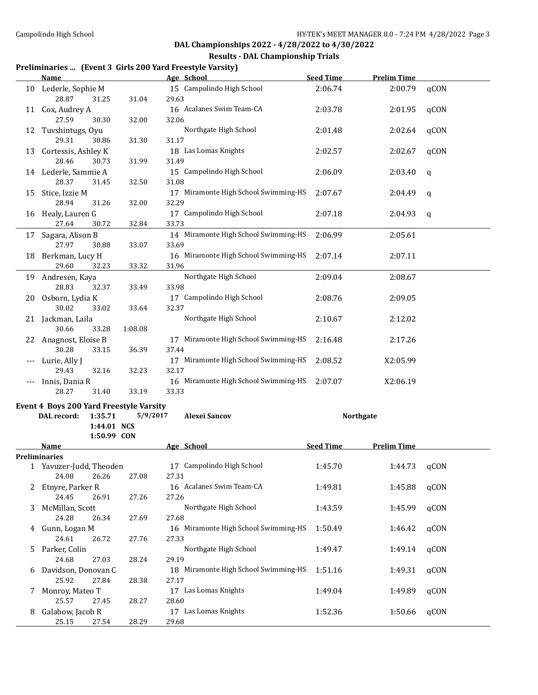#### **Results - DAL Championship Trials**

## **Preliminaries ... (Event 3 Girls 200 Yard Freestyle Varsity)**

|       | <b>Name</b>                                    |          | Age School                                    | <b>Seed Time</b> | <b>Prelim Time</b> |      |
|-------|------------------------------------------------|----------|-----------------------------------------------|------------------|--------------------|------|
|       | 10 Lederle, Sophie M<br>28.87<br>31.25         | 31.04    | 15 Campolindo High School<br>29.63            | 2:06.74          | 2:00.79            | qCON |
|       | 11 Cox, Audrey A<br>27.59<br>30.30             | 32.00    | 16 Acalanes Swim Team-CA<br>32.06             | 2:03.78          | 2:01.95            | qCON |
| 12    | Tuvshintugs, Oyu<br>29.31<br>30.86             | 31.30    | Northgate High School<br>31.17                | 2:01.48          | 2:02.64            | qCON |
| 13    | Cortessis, Ashley K<br>28.46<br>30.73          | 31.99    | 18 Las Lomas Knights<br>31.49                 | 2:02.57          | 2:02.67            | qCON |
|       | 14 Lederle, Sammie A<br>28.37<br>31.45         | 32.50    | 15 Campolindo High School<br>31.08            | 2:06.09          | 2:03.40            | q    |
| 15    | Stice, Izzie M<br>28.94<br>31.26               | 32.00    | 17 Miramonte High School Swimming-HS<br>32.29 | 2:07.67          | 2:04.49            | q    |
|       | 16 Healy, Lauren G<br>30.72<br>27.64           | 32.84    | 17 Campolindo High School<br>33.73            | 2:07.18          | 2:04.93            | q    |
|       | 17 Sagara, Alison B<br>27.97<br>30.88          | 33.07    | 14 Miramonte High School Swimming-HS<br>33.69 | 2:06.99          | 2:05.61            |      |
|       | 18 Berkman, Lucy H<br>29.60<br>32.23           | 33.32    | 16 Miramonte High School Swimming-HS<br>31.96 | 2:07.14          | 2:07.11            |      |
| 19    | Andresen, Kaya<br>28.83<br>32.37               | 33.49    | Northgate High School<br>33.98                | 2:09.04          | 2:08.67            |      |
| 20 -  | Osborn, Lydia K<br>30.02<br>33.02              | 33.64    | 17 Campolindo High School<br>32.37            | 2:08.76          | 2:09.05            |      |
|       | 21 Jackman, Laila<br>30.66<br>33.28            | 1:08.08  | Northgate High School                         | 2:10.67          | 2:12.02            |      |
|       | 22 Anagnost, Eloise B<br>30.28<br>33.15        | 36.39    | 17 Miramonte High School Swimming-HS<br>37.44 | 2:16.48          | 2:17.26            |      |
| $---$ | Lurie, Ally J<br>29.43<br>32.16                | 32.23    | 17 Miramonte High School Swimming-HS<br>32.17 | 2:08.52          | X2:05.99           |      |
| $---$ | Innis, Dania R<br>28.27<br>31.40               | 33.19    | 16 Miramonte High School Swimming-HS<br>33.33 | 2:07.07          | X2:06.19           |      |
|       | <b>Event 4 Boys 200 Yard Freestyle Varsity</b> |          |                                               |                  |                    |      |
|       | 1:35.71<br>DAL record:                         | 5/9/2017 | Alexei Sancov                                 | <b>Northgate</b> |                    |      |
|       | 1:44.01 NCS                                    |          |                                               |                  |                    |      |
|       | 1:50.99 CON                                    |          |                                               |                  |                    |      |
|       | Name                                           |          | Age School                                    | <b>Seed Time</b> | <b>Prelim Time</b> |      |
|       | Preliminaries                                  |          |                                               |                  |                    |      |
|       | 1 Yavuzer-Judd, Theoden                        |          | 17 Campolindo High School                     | 1:45.70          | 1:44.73            | qCON |
|       | 24.08<br>26.26                                 | 27.08    | 27.31                                         |                  |                    |      |
|       | 2 Etnyre, Parker R<br>24.45<br>26.91           |          | 16 Acalanes Swim Team-CA<br>27.26             | 1:49.81          | 1:45.88            | qCON |
| 3     | McMillan, Scott                                | 27.26    | Northgate High School                         | 1:43.59          | 1:45.99            | qCON |
|       | 24.28<br>26.34                                 | 27.69    | 27.68                                         |                  |                    |      |
| 4     | Gunn, Logan M                                  |          | 16 Miramonte High School Swimming-HS          | 1:50.49          | 1:46.42            | qCON |
| 5     | 24.61<br>26.72<br>Parker, Colin                | 27.76    | 27.33<br>Northgate High School                | 1:49.47          | 1:49.14            | qCON |
|       | 24.68<br>27.03                                 | 28.24    | 29.19                                         |                  |                    |      |
| 6     | Davidson, Donovan C<br>25.92<br>27.84          | 28.38    | 18 Miramonte High School Swimming-HS<br>27.17 | 1:51.16          | 1:49.31            | qCON |
| 7     | Monroy, Mateo T                                |          | 17 Las Lomas Knights                          | 1:49.04          | 1:49.89            | qCON |
|       | 25.57<br>27.45                                 | 28.27    | 28.60                                         |                  |                    |      |
| 8     | Galabow, Jacob R<br>25.15<br>27.54             | 28.29    | 17 Las Lomas Knights<br>29.68                 | 1:52.36          | 1:50.66            | qCON |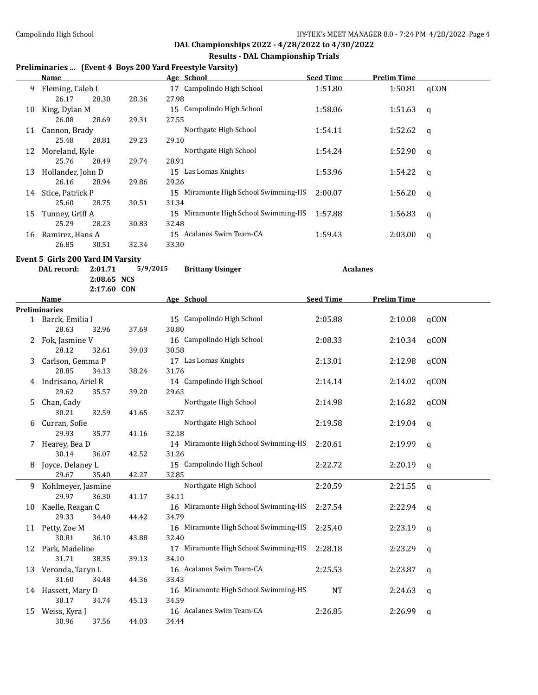#### **Results - DAL Championship Trials**

# **Preliminaries ... (Event 4 Boys 200 Yard Freestyle Varsity)**

|    | Name                                   |          | Age School                                    | <b>Seed Time</b> | <b>Prelim Time</b> |              |
|----|----------------------------------------|----------|-----------------------------------------------|------------------|--------------------|--------------|
| 9. | Fleming, Caleb L<br>26.17<br>28.30     | 28.36    | 17 Campolindo High School<br>27.98            | 1:51.80          | 1:50.81            | qCON         |
|    | 10 King, Dylan M<br>26.08<br>28.69     | 29.31    | 15 Campolindo High School<br>27.55            | 1:58.06          | 1:51.63            | q            |
|    | 11 Cannon, Brady<br>25.48<br>28.81     | 29.23    | Northgate High School<br>29.10                | 1:54.11          | 1:52.62            | q            |
|    | 12 Moreland, Kyle<br>25.76<br>28.49    | 29.74    | Northgate High School<br>28.91                | 1:54.24          | 1:52.90            | q            |
|    | 13 Hollander, John D<br>26.16<br>28.94 | 29.86    | 15 Las Lomas Knights<br>29.26                 | 1:53.96          | 1:54.22            | q            |
|    | 14 Stice, Patrick P<br>25.60<br>28.75  | 30.51    | 15 Miramonte High School Swimming-HS<br>31.34 | 2:00.07          | 1:56.20            | q            |
| 15 | Tunney, Griff A<br>25.29<br>28.23      | 30.83    | 15 Miramonte High School Swimming-HS<br>32.48 | 1:57.88          | 1:56.83            | q            |
|    | 16 Ramirez, Hans A<br>26.85<br>30.51   | 32.34    | 15 Acalanes Swim Team-CA<br>33.30             | 1:59.43          | 2:03.00            | q            |
|    | Event 5 Girls 200 Yard IM Varsity      |          |                                               |                  |                    |              |
|    | DAL record:<br>2:01.71                 | 5/9/2015 | <b>Brittany Usinger</b>                       |                  | <b>Acalanes</b>    |              |
|    | 2:08.65 NCS                            |          |                                               |                  |                    |              |
|    | 2:17.60 CON                            |          |                                               |                  |                    |              |
|    | <u>Name</u>                            |          | Age School                                    | <b>Seed Time</b> | <b>Prelim Time</b> |              |
|    | <b>Preliminaries</b>                   |          |                                               |                  |                    |              |
|    | 1 Barck, Emilia I<br>28.63<br>32.96    | 37.69    | 15 Campolindo High School<br>30.80            | 2:05.88          | 2:10.08            | qCON         |
|    | 2 Fok, Jasmine V<br>28.12<br>32.61     | 39.03    | 16 Campolindo High School<br>30.58            | 2:08.33          | 2:10.34            | qCON         |
| 3  | Carlson, Gemma P<br>28.85<br>34.13     | 38.24    | 17 Las Lomas Knights<br>31.76                 | 2:13.01          | 2:12.98            | qCON         |
|    | 4 Indrisano, Ariel R<br>29.62<br>35.57 | 39.20    | 14 Campolindo High School<br>29.63            | 2:14.14          | 2:14.02            | qCON         |
| 5  | Chan, Cady<br>30.21<br>32.59           | 41.65    | Northgate High School<br>32.37                | 2:14.98          | 2:16.82            | qCON         |
| 6  | Curran, Sofie<br>29.93<br>35.77        | 41.16    | Northgate High School<br>32.18                | 2:19.58          | 2:19.04            | q            |
|    | 7 Hearey, Bea D<br>30.14<br>36.07      | 42.52    | 14 Miramonte High School Swimming-HS<br>31.26 | 2:20.61          | 2:19.99            | q            |
|    | 8 Joyce, Delaney L<br>29.67<br>35.40   | 42.27    | 15 Campolindo High School<br>32.85            | 2:22.72          | 2:20.19            | q            |
| 9  | Kohlmeyer, Jasmine<br>29.97<br>36.30   | 41.17    | Northgate High School<br>34.11                | 2:20.59          | 2:21.55            | $\mathbf{q}$ |
| 10 | Kaelle, Reagan C<br>29.33<br>34.40     | 44.42    | 16 Miramonte High School Swimming-HS<br>34.79 | 2:27.54          | 2:22.94            | <sub>q</sub> |
|    | 11 Petty, Zoe M<br>30.81<br>36.10      | 43.88    | 16 Miramonte High School Swimming-HS<br>32.40 | 2:25.40          | 2:23.19            | <sub>q</sub> |
| 12 | Park, Madeline<br>31.71<br>38.35       | 39.13    | 17 Miramonte High School Swimming-HS<br>34.10 | 2:28.18          | 2:23.29            | q            |
| 13 | Veronda, Taryn L<br>31.60<br>34.48     | 44.36    | 16 Acalanes Swim Team-CA<br>33.43             | 2:25.53          | 2:23.87            | q            |
|    | 14 Hassett, Mary D<br>30.17<br>34.74   | 45.13    | 16 Miramonte High School Swimming-HS<br>34.59 | NT               | 2:24.63            | q            |
| 15 | Weiss, Kyra J<br>30.96<br>37.56        | 44.03    | 16 Acalanes Swim Team-CA<br>34.44             | 2:26.85          | 2:26.99            | q            |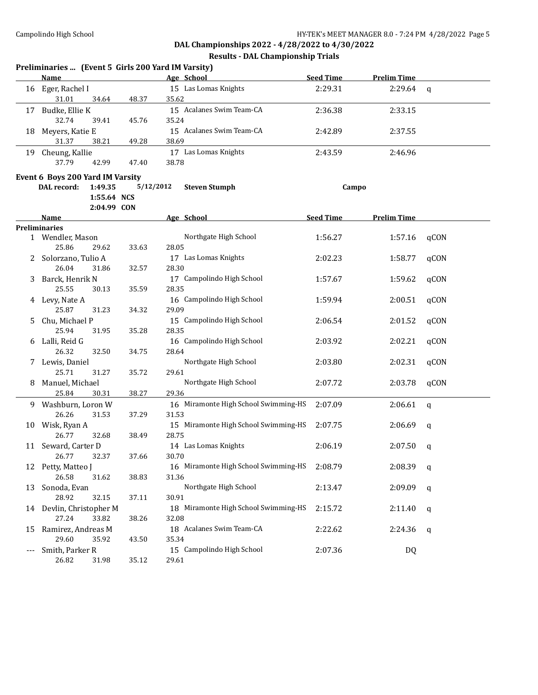|     | Preliminaries  (Event 5 Girls 200 Yard IM Varsity) |             |                                               |                  |                    |      |
|-----|----------------------------------------------------|-------------|-----------------------------------------------|------------------|--------------------|------|
|     | Name                                               |             | Age School                                    | <b>Seed Time</b> | <b>Prelim Time</b> |      |
| 16  | Eger, Rachel I                                     |             | 15 Las Lomas Knights                          | 2:29.31          | 2:29.64            | q    |
|     | 31.01<br>34.64                                     | 48.37       | 35.62                                         |                  |                    |      |
| 17  | Budke, Ellie K                                     |             | 15 Acalanes Swim Team-CA                      | 2:36.38          | 2:33.15            |      |
|     | 32.74<br>39.41                                     | 45.76       | 35.24                                         |                  |                    |      |
| 18  | Meyers, Katie E                                    |             | 15 Acalanes Swim Team-CA                      | 2:42.89          | 2:37.55            |      |
|     | 31.37<br>38.21                                     | 49.28       | 38.69                                         |                  |                    |      |
| 19  | Cheung, Kallie                                     |             | 17 Las Lomas Knights                          | 2:43.59          | 2:46.96            |      |
|     | 37.79<br>42.99                                     | 47.40       | 38.78                                         |                  |                    |      |
|     | Event 6 Boys 200 Yard IM Varsity                   |             |                                               |                  |                    |      |
|     | 1:49.35<br>DAL record:                             | 5/12/2012   | <b>Steven Stumph</b>                          | Campo            |                    |      |
|     | 1:55.64 NCS                                        |             |                                               |                  |                    |      |
|     |                                                    | 2:04.99 CON |                                               |                  |                    |      |
|     | Name                                               |             | Age School                                    | <b>Seed Time</b> | <b>Prelim Time</b> |      |
|     | <b>Preliminaries</b>                               |             |                                               |                  |                    |      |
|     | 1 Wendler, Mason                                   |             | Northgate High School                         | 1:56.27          | 1:57.16            | qCON |
|     | 25.86<br>29.62                                     | 33.63       | 28.05                                         |                  |                    |      |
| 2   | Solorzano, Tulio A                                 |             | 17 Las Lomas Knights                          | 2:02.23          | 1:58.77            | qCON |
|     | 26.04<br>31.86                                     | 32.57       | 28.30                                         |                  |                    |      |
| 3   | Barck, Henrik N                                    |             | 17 Campolindo High School                     | 1:57.67          | 1:59.62            | qCON |
|     | 25.55<br>30.13                                     | 35.59       | 28.35                                         |                  |                    |      |
| 4   | Levy, Nate A                                       |             | 16 Campolindo High School                     | 1:59.94          | 2:00.51            | qCON |
|     | 25.87<br>31.23                                     | 34.32       | 29.09                                         |                  |                    |      |
| 5   | Chu, Michael P                                     |             | 15 Campolindo High School                     | 2:06.54          | 2:01.52            | qCON |
|     | 25.94<br>31.95                                     | 35.28       | 28.35                                         |                  |                    |      |
| 6   | Lalli, Reid G                                      |             | 16 Campolindo High School                     | 2:03.92          | 2:02.21            | qCON |
|     | 26.32<br>32.50                                     | 34.75       | 28.64                                         |                  |                    |      |
| 7.  | Lewis, Daniel                                      |             | Northgate High School                         | 2:03.80          | 2:02.31            | qCON |
|     | 25.71<br>31.27                                     | 35.72       | 29.61                                         |                  |                    |      |
| 8   | Manuel, Michael                                    |             | Northgate High School                         | 2:07.72          | 2:03.78            | qCON |
|     | 25.84<br>30.31                                     | 38.27       | 29.36                                         |                  |                    |      |
| 9.  | Washburn, Loron W                                  |             | 16 Miramonte High School Swimming-HS          | 2:07.09          | 2:06.61            | q    |
|     | 26.26<br>31.53                                     | 37.29       | 31.53                                         |                  |                    |      |
| 10  | Wisk, Ryan A<br>26.77<br>32.68                     | 38.49       | 15 Miramonte High School Swimming-HS<br>28.75 | 2:07.75          | 2:06.69            | q    |
|     | 11 Seward, Carter D                                |             | 14 Las Lomas Knights                          | 2:06.19          |                    |      |
|     | 26.77 32.37                                        | 37.66       | 30.70                                         |                  | 2:07.50            | q    |
|     | 12 Petty, Matteo J                                 |             | 16 Miramonte High School Swimming-HS          | 2:08.79          | 2:08.39            |      |
|     | 26.58<br>31.62                                     | 38.83       | 31.36                                         |                  |                    | q    |
| 13  | Sonoda, Evan                                       |             | Northgate High School                         | 2:13.47          | 2:09.09            |      |
|     | 28.92<br>32.15                                     | 37.11       | 30.91                                         |                  |                    | q    |
|     | 14 Devlin, Christopher M                           |             | 18 Miramonte High School Swimming-HS          | 2:15.72          | 2:11.40            | q    |
|     | 27.24<br>33.82                                     | 38.26       | 32.08                                         |                  |                    |      |
| 15  | Ramirez, Andreas M                                 |             | 18 Acalanes Swim Team-CA                      | 2:22.62          | 2:24.36            | q    |
|     | 29.60<br>35.92                                     | 43.50       | 35.34                                         |                  |                    |      |
| --- | Smith, Parker R                                    |             | 15 Campolindo High School                     | 2:07.36          | DQ                 |      |
|     | 26.82<br>31.98                                     | 35.12       | 29.61                                         |                  |                    |      |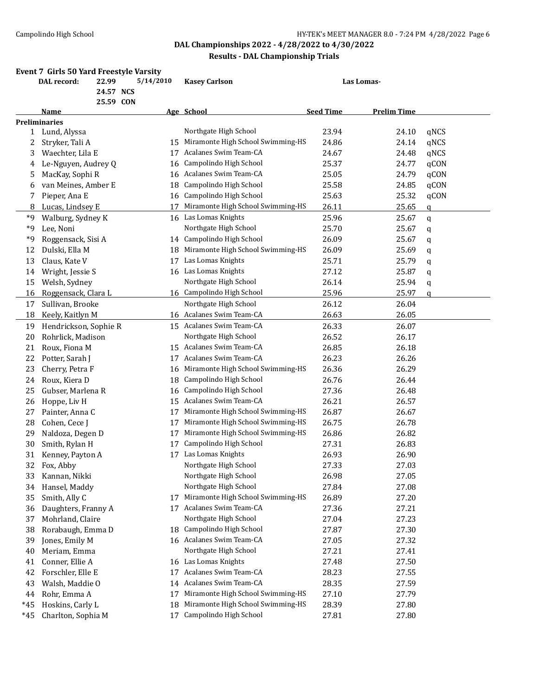|       | Event 7 Girls 50 Yard Freestyle Varsity<br>DAL record: | 22.99<br>24.57 NCS<br>25.59 CON | 5/14/2010 | <b>Kasey Carlson</b>                 |                  | Las Lomas-         |              |
|-------|--------------------------------------------------------|---------------------------------|-----------|--------------------------------------|------------------|--------------------|--------------|
|       | Name                                                   |                                 |           | Age School                           | <b>Seed Time</b> | <b>Prelim Time</b> |              |
|       | <b>Preliminaries</b>                                   |                                 |           |                                      |                  |                    |              |
|       | 1 Lund, Alyssa                                         |                                 |           | Northgate High School                | 23.94            | 24.10              | qNCS         |
| 2     | Stryker, Tali A                                        |                                 | 15        | Miramonte High School Swimming-HS    | 24.86            | 24.14              | qNCS         |
| 3     | Waechter, Lila E                                       |                                 | 17        | Acalanes Swim Team-CA                | 24.67            | 24.48              | qNCS         |
| 4     | Le-Nguyen, Audrey Q                                    |                                 | 16        | Campolindo High School               | 25.37            | 24.77              | qCON         |
| 5     | MacKay, Sophi R                                        |                                 | 16        | Acalanes Swim Team-CA                | 25.05            | 24.79              | qCON         |
| 6     | van Meines, Amber E                                    |                                 | 18        | Campolindo High School               | 25.58            | 24.85              | qCON         |
| 7     | Pieper, Ana E                                          |                                 | 16        | Campolindo High School               | 25.63            | 25.32              | qCON         |
| 8     | Lucas, Lindsey E                                       |                                 | 17        | Miramonte High School Swimming-HS    | 26.11            | 25.65              | $\mathsf{q}$ |
| *9    | Walburg, Sydney K                                      |                                 |           | 16 Las Lomas Knights                 | 25.96            | 25.67              | q            |
| *9    | Lee, Noni                                              |                                 |           | Northgate High School                | 25.70            | 25.67              | q            |
| *9    | Roggensack, Sisi A                                     |                                 |           | 14 Campolindo High School            | 26.09            | 25.67              | q            |
| 12    | Dulski, Ella M                                         |                                 |           | 18 Miramonte High School Swimming-HS | 26.09            | 25.69              | q            |
| 13    | Claus, Kate V                                          |                                 | 17        | Las Lomas Knights                    | 25.71            | 25.79              | q            |
| 14    | Wright, Jessie S                                       |                                 |           | 16 Las Lomas Knights                 | 27.12            | 25.87              | q            |
| 15    | Welsh, Sydney                                          |                                 |           | Northgate High School                | 26.14            | 25.94              | q            |
| 16    | Roggensack, Clara L                                    |                                 |           | 16 Campolindo High School            | 25.96            | 25.97              | a            |
| 17    | Sullivan, Brooke                                       |                                 |           | Northgate High School                | 26.12            | 26.04              |              |
| 18    | Keely, Kaitlyn M                                       |                                 |           | 16 Acalanes Swim Team-CA             | 26.63            | 26.05              |              |
| 19    | Hendrickson, Sophie R                                  |                                 |           | 15 Acalanes Swim Team-CA             | 26.33            | 26.07              |              |
| 20    | Rohrlick, Madison                                      |                                 |           | Northgate High School                | 26.52            | 26.17              |              |
| 21    | Roux, Fiona M                                          |                                 |           | 15 Acalanes Swim Team-CA             | 26.85            | 26.18              |              |
| 22    | Potter, Sarah J                                        |                                 | 17        | Acalanes Swim Team-CA                | 26.23            | 26.26              |              |
| 23    | Cherry, Petra F                                        |                                 | 16        | Miramonte High School Swimming-HS    | 26.36            | 26.29              |              |
| 24    | Roux, Kiera D                                          |                                 | 18        | Campolindo High School               | 26.76            | 26.44              |              |
| 25    | Gubser, Marlena R                                      |                                 | 16        | Campolindo High School               | 27.36            | 26.48              |              |
| 26    | Hoppe, Liv H                                           |                                 | 15        | Acalanes Swim Team-CA                | 26.21            | 26.57              |              |
| 27    | Painter, Anna C                                        |                                 | 17        | Miramonte High School Swimming-HS    | 26.87            | 26.67              |              |
| 28    | Cohen, Cece J                                          |                                 | 17        | Miramonte High School Swimming-HS    | 26.75            | 26.78              |              |
| 29    | Naldoza, Degen D                                       |                                 | 17        | Miramonte High School Swimming-HS    | 26.86            | 26.82              |              |
| 30    | Smith, Rylan H                                         |                                 | 17        | Campolindo High School               | 27.31            | 26.83              |              |
| 31    | Kenney, Payton A                                       |                                 | 17        | Las Lomas Knights                    | 26.93            | 26.90              |              |
| 32    | Fox, Abby                                              |                                 |           | Northgate High School                | 27.33            | 27.03              |              |
| 33    | Kannan, Nikki                                          |                                 |           | Northgate High School                | 26.98            | 27.05              |              |
| 34    | Hansel, Maddy                                          |                                 |           | Northgate High School                | 27.84            | 27.08              |              |
| 35    | Smith, Ally C                                          |                                 |           | 17 Miramonte High School Swimming-HS | 26.89            | 27.20              |              |
| 36    | Daughters, Franny A                                    |                                 |           | 17 Acalanes Swim Team-CA             | 27.36            | 27.21              |              |
| 37    | Mohrland, Claire                                       |                                 |           | Northgate High School                | 27.04            | 27.23              |              |
| 38    | Rorabaugh, Emma D                                      |                                 |           | 18 Campolindo High School            | 27.87            | 27.30              |              |
| 39    | Jones, Emily M                                         |                                 |           | 16 Acalanes Swim Team-CA             | 27.05            | 27.32              |              |
| 40    | Meriam, Emma                                           |                                 |           | Northgate High School                | 27.21            | 27.41              |              |
| 41    | Conner, Ellie A                                        |                                 |           | 16 Las Lomas Knights                 | 27.48            | 27.50              |              |
| 42    | Forschler, Elle E                                      |                                 | 17        | Acalanes Swim Team-CA                | 28.23            | 27.55              |              |
| 43    | Walsh, Maddie O                                        |                                 | 14        | Acalanes Swim Team-CA                | 28.35            | 27.59              |              |
| 44    | Rohr, Emma A                                           |                                 | 17        | Miramonte High School Swimming-HS    | 27.10            | 27.79              |              |
| $*45$ | Hoskins, Carly L                                       |                                 | 18        | Miramonte High School Swimming-HS    | 28.39            | 27.80              |              |
| *45   | Charlton, Sophia M                                     |                                 | 17        | Campolindo High School               | 27.81            | 27.80              |              |
|       |                                                        |                                 |           |                                      |                  |                    |              |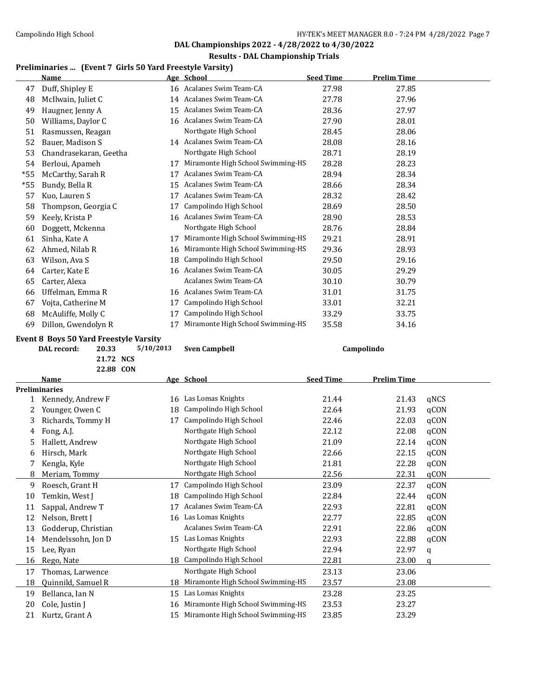#### **Results - DAL Championship Trials**

## **Preliminaries ... (Event 7 Girls 50 Yard Freestyle Varsity)**

|       | Name                   |    | Age School                        | <b>Seed Time</b> | <b>Prelim Time</b> |
|-------|------------------------|----|-----------------------------------|------------------|--------------------|
| 47    | Duff, Shipley E        |    | 16 Acalanes Swim Team-CA          | 27.98            | 27.85              |
| 48    | McIlwain, Juliet C     | 14 | Acalanes Swim Team-CA             | 27.78            | 27.96              |
| 49    | Haugner, Jenny A       | 15 | Acalanes Swim Team-CA             | 28.36            | 27.97              |
| 50    | Williams, Daylor C     | 16 | Acalanes Swim Team-CA             | 27.90            | 28.01              |
| 51    | Rasmussen, Reagan      |    | Northgate High School             | 28.45            | 28.06              |
| 52    | Bauer, Madison S       |    | 14 Acalanes Swim Team-CA          | 28.08            | 28.16              |
| 53    | Chandrasekaran, Geetha |    | Northgate High School             | 28.71            | 28.19              |
| 54    | Berloui, Apameh        | 17 | Miramonte High School Swimming-HS | 28.28            | 28.23              |
| $*55$ | McCarthy, Sarah R      | 17 | Acalanes Swim Team-CA             | 28.94            | 28.34              |
| $*55$ | Bundy, Bella R         | 15 | Acalanes Swim Team-CA             | 28.66            | 28.34              |
| 57    | Kuo, Lauren S          | 17 | Acalanes Swim Team-CA             | 28.32            | 28.42              |
| 58    | Thompson, Georgia C    | 17 | Campolindo High School            | 28.69            | 28.50              |
| 59    | Keely, Krista P        | 16 | Acalanes Swim Team-CA             | 28.90            | 28.53              |
| 60    | Doggett, Mckenna       |    | Northgate High School             | 28.76            | 28.84              |
| 61    | Sinha, Kate A          | 17 | Miramonte High School Swimming-HS | 29.21            | 28.91              |
| 62    | Ahmed, Nilab R         | 16 | Miramonte High School Swimming-HS | 29.36            | 28.93              |
| 63    | Wilson, Ava S          | 18 | Campolindo High School            | 29.50            | 29.16              |
| 64    | Carter, Kate E         | 16 | Acalanes Swim Team-CA             | 30.05            | 29.29              |
| 65    | Carter, Alexa          |    | Acalanes Swim Team-CA             | 30.10            | 30.79              |
| 66    | Uffelman, Emma R       | 16 | Acalanes Swim Team-CA             | 31.01            | 31.75              |
| 67    | Vojta, Catherine M     | 17 | Campolindo High School            | 33.01            | 32.21              |
| 68    | McAuliffe, Molly C     | 17 | Campolindo High School            | 33.29            | 33.75              |
| 69    | Dillon, Gwendolyn R    | 17 | Miramonte High School Swimming-HS | 35.58            | 34.16              |

# **Event 8 Boys 50 Yard Freestyle Varsity<br>DAL record:** 20.33 5/10/2013

**21.72 NCS**

|    | 22.88 CON           |    |                                   |                  |                    |             |
|----|---------------------|----|-----------------------------------|------------------|--------------------|-------------|
|    | <b>Name</b>         |    | Age School                        | <b>Seed Time</b> | <b>Prelim Time</b> |             |
|    | Preliminaries       |    |                                   |                  |                    |             |
|    | Kennedy, Andrew F   | 16 | Las Lomas Knights                 | 21.44            | 21.43              | qNCS        |
| 2  | Younger, Owen C     | 18 | Campolindo High School            | 22.64            | 21.93              | qCON        |
| 3  | Richards, Tommy H   | 17 | Campolindo High School            | 22.46            | 22.03              | qCON        |
| 4  | Fong, A.J.          |    | Northgate High School             | 22.12            | 22.08              | qCON        |
| 5  | Hallett, Andrew     |    | Northgate High School             | 21.09            | 22.14              | qCON        |
| 6  | Hirsch, Mark        |    | Northgate High School             | 22.66            | 22.15              | qCON        |
|    | Kengla, Kyle        |    | Northgate High School             | 21.81            | 22.28              | qCON        |
| 8  | Meriam, Tommy       |    | Northgate High School             | 22.56            | 22.31              | qCON        |
| 9  | Roesch, Grant H     | 17 | Campolindo High School            | 23.09            | 22.37              | qCON        |
| 10 | Temkin, West J      | 18 | Campolindo High School            | 22.84            | 22.44              | qCON        |
| 11 | Sappal, Andrew T    | 17 | Acalanes Swim Team-CA             | 22.93            | 22.81              | qCON        |
| 12 | Nelson, Brett J     | 16 | Las Lomas Knights                 | 22.77            | 22.85              | qCON        |
| 13 | Godderup, Christian |    | Acalanes Swim Team-CA             | 22.91            | 22.86              | qCON        |
| 14 | Mendelssohn, Jon D  | 15 | Las Lomas Knights                 | 22.93            | 22.88              | qCON        |
| 15 | Lee, Ryan           |    | Northgate High School             | 22.94            | 22.97              | $\mathbf q$ |
| 16 | Rego, Nate          | 18 | Campolindo High School            | 22.81            | 23.00              | a           |
| 17 | Thomas, Larwence    |    | Northgate High School             | 23.13            | 23.06              |             |
| 18 | Quinnild, Samuel R  | 18 | Miramonte High School Swimming-HS | 23.57            | 23.08              |             |
| 19 | Bellanca, Ian N     | 15 | Las Lomas Knights                 | 23.28            | 23.25              |             |
| 20 | Cole, Justin J      | 16 | Miramonte High School Swimming-HS | 23.53            | 23.27              |             |
| 21 | Kurtz, Grant A      | 15 | Miramonte High School Swimming-HS | 23.85            | 23.29              |             |
|    |                     |    |                                   |                  |                    |             |

**Damage Sven Campbell Campolindo**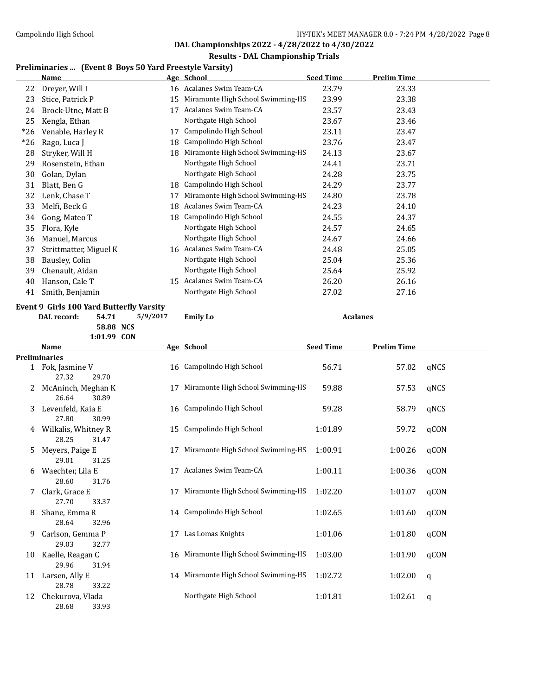#### **Results - DAL Championship Trials**

#### **Preliminaries ... (Event 8 Boys 50 Yard Freestyle Varsity)**

|       | <b>Name</b>            |    | Age School                        | <b>Seed Time</b> | <b>Prelim Time</b> |  |
|-------|------------------------|----|-----------------------------------|------------------|--------------------|--|
| 22    | Dreyer, Will I         |    | 16 Acalanes Swim Team-CA          | 23.79            | 23.33              |  |
| 23    | Stice, Patrick P       | 15 | Miramonte High School Swimming-HS | 23.99            | 23.38              |  |
| 24    | Brock-Utne, Matt B     | 17 | Acalanes Swim Team-CA             | 23.57            | 23.43              |  |
| 25    | Kengla, Ethan          |    | Northgate High School             | 23.67            | 23.46              |  |
| *26   | Venable, Harley R      | 17 | Campolindo High School            | 23.11            | 23.47              |  |
| $*26$ | Rago, Luca J           | 18 | Campolindo High School            | 23.76            | 23.47              |  |
| 28    | Stryker, Will H        | 18 | Miramonte High School Swimming-HS | 24.13            | 23.67              |  |
| 29    | Rosenstein, Ethan      |    | Northgate High School             | 24.41            | 23.71              |  |
| 30    | Golan, Dylan           |    | Northgate High School             | 24.28            | 23.75              |  |
| 31    | Blatt, Ben G           | 18 | Campolindo High School            | 24.29            | 23.77              |  |
| 32    | Lenk, Chase T          | 17 | Miramonte High School Swimming-HS | 24.80            | 23.78              |  |
| 33    | Melfi, Beck G          | 18 | Acalanes Swim Team-CA             | 24.23            | 24.10              |  |
| 34    | Gong, Mateo T          | 18 | Campolindo High School            | 24.55            | 24.37              |  |
| 35    | Flora, Kyle            |    | Northgate High School             | 24.57            | 24.65              |  |
| 36    | Manuel, Marcus         |    | Northgate High School             | 24.67            | 24.66              |  |
| 37    | Strittmatter, Miguel K | 16 | Acalanes Swim Team-CA             | 24.48            | 25.05              |  |
| 38    | Bausley, Colin         |    | Northgate High School             | 25.04            | 25.36              |  |
| 39    | Chenault, Aidan        |    | Northgate High School             | 25.64            | 25.92              |  |
| 40    | Hanson, Cale T         | 15 | Acalanes Swim Team-CA             | 26.20            | 26.16              |  |
| 41    | Smith, Benjamin        |    | Northgate High School             | 27.02            | 27.16              |  |
|       |                        |    |                                   |                  |                    |  |

#### **Event 9 Girls 100 Yard Butterfly Varsity**

**DAL record: 54.71 5/9/2017 Emily Lo Acalanes 58.88 NCS**

**1:01.99 CON Name Age School Seed Time Prelim Time Preliminaries** 1 Fok, Jasmine V 16 Campolindo High School 56.71 57.02 qNCS 27.32 29.70 2 McAninch, Meghan K 17 Miramonte High School Swimming-HS 59.88 57.53 qNCS 26.64 30.89 3 Levenfeld, Kaia E 16 Campolindo High School 59.28 58.79 qNCS 27.80 30.99 4 Wilkalis, Whitney R 15 Campolindo High School 1:01.89 59.72 qCON 28.25 31.47 5 Meyers, Paige E 17 Miramonte High School Swimming-HS 1:00.91 1:00.26 qCON 29.01 31.25 6 Waechter, Lila E 17 Acalanes Swim Team-CA 1:00.11 1:00.36 qCON 28.60 31.76 7 Clark, Grace E 17 Miramonte High School Swimming-HS 1:02.20 1:01.07 qCON 27.70 33.37 8 Shane, Emma R 14 Campolindo High School 1:02.65 1:01.60 qCON 28.64 32.96 9 Carlson, Gemma P 17 Las Lomas Knights 1:01.06 1:01.80 qCON 29.03 32.77 10 Kaelle, Reagan C 16 Miramonte High School Swimming-HS 1:03.00 1:01.90 qCON 29.96 31.94 11 Larsen, Ally E 14 Miramonte High School Swimming-HS 1:02.72 1:02.00 q 28.78 33.22 12 Chekurova, Vlada Northgate High School 1:01.81 1:02.61 q 28.68 33.93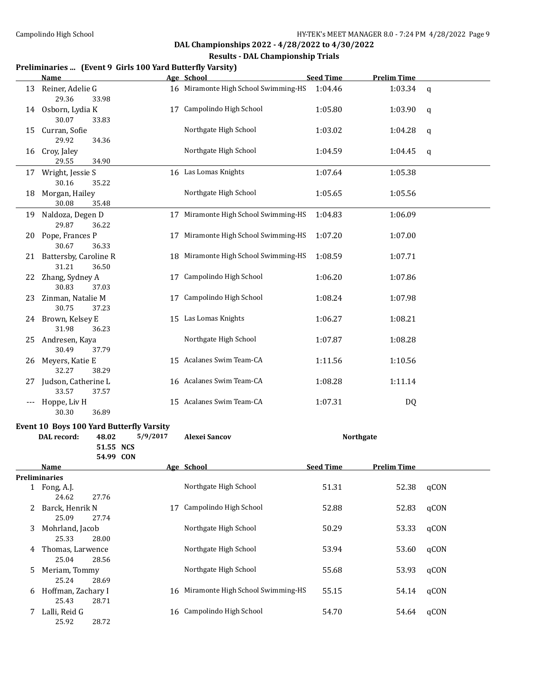#### **Results - DAL Championship Trials**

#### **Preliminaries ... (Event 9 Girls 100 Yard Butterfly Varsity)**

|    | <b>Name</b>                                                      |          | Age School                           | <b>Seed Time</b> | <b>Prelim Time</b> |             |
|----|------------------------------------------------------------------|----------|--------------------------------------|------------------|--------------------|-------------|
| 13 | Reiner, Adelie G<br>29.36<br>33.98                               |          | 16 Miramonte High School Swimming-HS | 1:04.46          | 1:03.34            | $\mathbf q$ |
| 14 | Osborn, Lydia K<br>30.07<br>33.83                                |          | 17 Campolindo High School            | 1:05.80          | 1:03.90            | q           |
| 15 | Curran, Sofie<br>29.92<br>34.36                                  |          | Northgate High School                | 1:03.02          | 1:04.28            | q           |
| 16 | Croy, Jaley<br>29.55<br>34.90                                    |          | Northgate High School                | 1:04.59          | 1:04.45            | q           |
|    | 17 Wright, Jessie S<br>30.16<br>35.22                            |          | 16 Las Lomas Knights                 | 1:07.64          | 1:05.38            |             |
| 18 | Morgan, Hailey<br>30.08<br>35.48                                 |          | Northgate High School                | 1:05.65          | 1:05.56            |             |
| 19 | Naldoza, Degen D<br>29.87<br>36.22                               |          | 17 Miramonte High School Swimming-HS | 1:04.83          | 1:06.09            |             |
| 20 | Pope, Frances P<br>30.67<br>36.33                                |          | 17 Miramonte High School Swimming-HS | 1:07.20          | 1:07.00            |             |
| 21 | Battersby, Caroline R<br>31.21<br>36.50                          |          | 18 Miramonte High School Swimming-HS | 1:08.59          | 1:07.71            |             |
| 22 | Zhang, Sydney A<br>30.83<br>37.03                                |          | 17 Campolindo High School            | 1:06.20          | 1:07.86            |             |
| 23 | Zinman, Natalie M<br>30.75<br>37.23                              | 17       | Campolindo High School               | 1:08.24          | 1:07.98            |             |
|    | 24 Brown, Kelsey E<br>31.98<br>36.23                             |          | 15 Las Lomas Knights                 | 1:06.27          | 1:08.21            |             |
| 25 | Andresen, Kaya<br>30.49<br>37.79                                 |          | Northgate High School                | 1:07.87          | 1:08.28            |             |
| 26 | Meyers, Katie E<br>32.27<br>38.29                                |          | 15 Acalanes Swim Team-CA             | 1:11.56          | 1:10.56            |             |
|    | 27 Judson, Catherine L<br>33.57<br>37.57                         |          | 16 Acalanes Swim Team-CA             | 1:08.28          | 1:11.14            |             |
|    | Hoppe, Liv H<br>30.30<br>36.89                                   |          | 15 Acalanes Swim Team-CA             | 1:07.31          | DQ                 |             |
|    | Event 10 Boys 100 Yard Butterfly Varsity<br>DAL record:<br>48.02 | 5/9/2017 | <b>Alexei Sancov</b>                 |                  | <b>Northgate</b>   |             |
|    | 51.55 NCS<br>54.99 CON                                           |          |                                      |                  |                    |             |
|    | <u>Name</u>                                                      |          | Age School                           | <b>Seed Time</b> | <b>Prelim Time</b> |             |
|    | Preliminaries<br>1 Fong, A.J.<br>24.62<br>27.76                  |          | Northgate High School                | 51.31            | 52.38              | qCON        |
| 2  | Barck, Henrik N<br>25.09<br>27.74                                | 17       | Campolindo High School               | 52.88            | 52.83              | qCON        |
| 3  | Mohrland, Jacob<br>25.33<br>28.00                                |          | Northgate High School                | 50.29            | 53.33              | qCON        |
| 4  | Thomas, Larwence<br>25.04<br>28.56                               |          | Northgate High School                | 53.94            | 53.60              | qCON        |
| 5  | Meriam, Tommy<br>25.24<br>28.69                                  |          | Northgate High School                | 55.68            | 53.93              | qCON        |
| 6  | Hoffman, Zachary I<br>25.43<br>28.71                             |          | 16 Miramonte High School Swimming-HS | 55.15            | 54.14              | qCON        |
| 7  | Lalli, Reid G<br>25.92<br>28.72                                  |          | 16 Campolindo High School            | 54.70            | 54.64              | qCON        |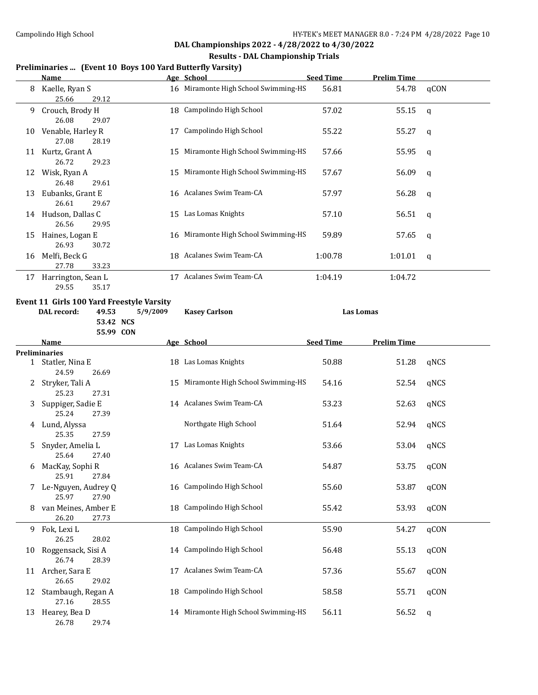#### **Results - DAL Championship Trials**

### **Preliminaries ... (Event 10 Boys 100 Yard Butterfly Varsity)**

|    | <b>Name</b>                                            |          | Age School                           | <b>Seed Time</b> | <b>Prelim Time</b> |              |
|----|--------------------------------------------------------|----------|--------------------------------------|------------------|--------------------|--------------|
| 8  | Kaelle, Ryan S<br>25.66<br>29.12                       |          | 16 Miramonte High School Swimming-HS | 56.81            | 54.78              | qCON         |
| 9. | Crouch, Brody H<br>26.08<br>29.07                      |          | 18 Campolindo High School            | 57.02            | 55.15              | $\mathsf{q}$ |
|    | 10 Venable, Harley R<br>27.08<br>28.19                 | 17       | Campolindo High School               | 55.22            | 55.27              | q            |
|    | 11 Kurtz, Grant A<br>26.72<br>29.23                    |          | 15 Miramonte High School Swimming-HS | 57.66            | 55.95              | q            |
|    | 12 Wisk, Ryan A<br>26.48<br>29.61                      |          | 15 Miramonte High School Swimming-HS | 57.67            | 56.09              | q            |
| 13 | Eubanks, Grant E<br>26.61<br>29.67                     |          | 16 Acalanes Swim Team-CA             | 57.97            | 56.28              | q            |
|    | 14 Hudson, Dallas C<br>26.56<br>29.95                  |          | 15 Las Lomas Knights                 | 57.10            | 56.51              | q            |
| 15 | Haines, Logan E<br>26.93<br>30.72                      |          | 16 Miramonte High School Swimming-HS | 59.89            | 57.65              | q            |
|    | 16 Melfi, Beck G<br>27.78<br>33.23                     |          | 18 Acalanes Swim Team-CA             | 1:00.78          | 1:01.01            | q            |
| 17 | Harrington, Sean L<br>29.55<br>35.17                   |          | 17 Acalanes Swim Team-CA             | 1:04.19          | 1:04.72            |              |
|    | Event 11 Girls 100 Yard Freestyle Varsity              |          |                                      |                  |                    |              |
|    | DAL record:<br>49.53                                   | 5/9/2009 | <b>Kasey Carlson</b>                 |                  | <b>Las Lomas</b>   |              |
|    | 53.42 NCS                                              |          |                                      |                  |                    |              |
|    | 55.99 CON                                              |          |                                      |                  |                    |              |
|    | Name                                                   |          | Age School                           | <b>Seed Time</b> | <b>Prelim Time</b> |              |
|    | <b>Preliminaries</b>                                   |          |                                      |                  |                    |              |
|    | 1 Statler, Nina E                                      |          | 18 Las Lomas Knights                 | 50.88            | 51.28              | qNCS         |
|    | 24.59<br>26.69                                         |          |                                      |                  |                    |              |
|    | 2 Stryker, Tali A<br>25.23<br>27.31                    |          | 15 Miramonte High School Swimming-HS | 54.16            | 52.54              | qNCS         |
| 3  | Suppiger, Sadie E                                      |          | 14 Acalanes Swim Team-CA             | 53.23            | 52.63              | qNCS         |
|    | 25.24<br>27.39<br>4 Lund, Alyssa                       |          | Northgate High School                | 51.64            | 52.94              | qNCS         |
| 5  | 25.35<br>27.59<br>Snyder, Amelia L                     |          | 17 Las Lomas Knights                 | 53.66            | 53.04              | qNCS         |
| 6  | 25.64<br>27.40<br>MacKay, Sophi R                      |          | 16 Acalanes Swim Team-CA             | 54.87            | 53.75              | qCON         |
| 7  | 27.84<br>25.91<br>Le-Nguyen, Audrey Q                  | 16       | Campolindo High School               | 55.60            | 53.87              | qCON         |
| 8  | 25.97<br>27.90<br>van Meines, Amber E                  | 18       | Campolindo High School               | 55.42            | 53.93              | qCON         |
| 9  | 26.20<br>27.73<br>Fok, Lexi L                          | 18       | Campolindo High School               | 55.90            | 54.27              | qCON         |
| 10 | 26.25<br>28.02<br>Roggensack, Sisi A                   |          | 14 Campolindo High School            | 56.48            | 55.13              | qCON         |
| 11 | 26.74<br>28.39<br>Archer, Sara E                       | 17       | Acalanes Swim Team-CA                | 57.36            | 55.67              | qCON         |
| 12 | 26.65<br>29.02<br>Stambaugh, Regan A<br>27.16<br>28.55 | 18       | Campolindo High School               | 58.58            | 55.71              | qCON         |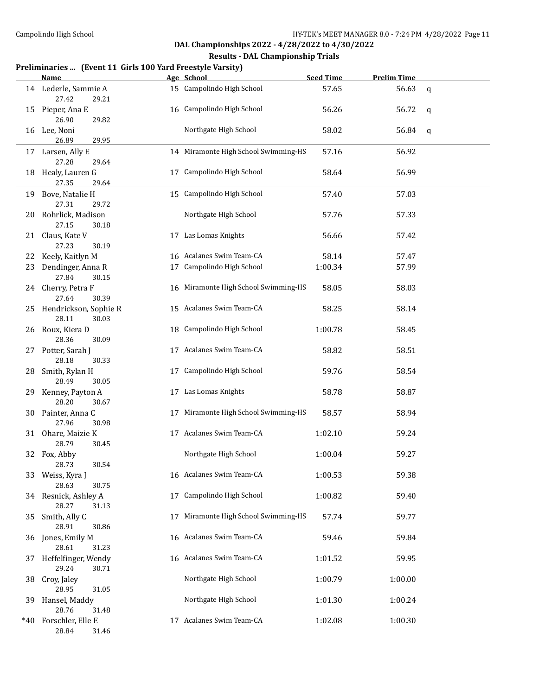#### **Results - DAL Championship Trials**

#### **Preliminaries ... (Event 11 Girls 100 Yard Freestyle Varsity)**

|     | <u>Name</u>                             |    | Age School                           | <b>Seed Time</b> | <b>Prelim Time</b> |   |
|-----|-----------------------------------------|----|--------------------------------------|------------------|--------------------|---|
|     | 14 Lederle, Sammie A<br>27.42<br>29.21  |    | 15 Campolindo High School            | 57.65            | 56.63              | q |
|     | 15 Pieper, Ana E<br>26.90<br>29.82      |    | 16 Campolindo High School            | 56.26            | 56.72              | q |
|     | 16 Lee, Noni<br>26.89<br>29.95          |    | Northgate High School                | 58.02            | 56.84              | q |
| 17  | Larsen, Ally E<br>27.28<br>29.64        |    | 14 Miramonte High School Swimming-HS | 57.16            | 56.92              |   |
|     | 18 Healy, Lauren G<br>27.35<br>29.64    |    | 17 Campolindo High School            | 58.64            | 56.99              |   |
|     | 19 Bove, Natalie H<br>27.31<br>29.72    |    | 15 Campolindo High School            | 57.40            | 57.03              |   |
|     | 20 Rohrlick, Madison<br>27.15<br>30.18  |    | Northgate High School                | 57.76            | 57.33              |   |
|     | 21 Claus, Kate V<br>27.23<br>30.19      |    | 17 Las Lomas Knights                 | 56.66            | 57.42              |   |
| 22  | Keely, Kaitlyn M                        |    | 16 Acalanes Swim Team-CA             | 58.14            | 57.47              |   |
| 23  | Dendinger, Anna R<br>27.84<br>30.15     |    | 17 Campolindo High School            | 1:00.34          | 57.99              |   |
|     | 24 Cherry, Petra F<br>27.64<br>30.39    |    | 16 Miramonte High School Swimming-HS | 58.05            | 58.03              |   |
| 25  | Hendrickson, Sophie R<br>28.11<br>30.03 |    | 15 Acalanes Swim Team-CA             | 58.25            | 58.14              |   |
| 26  | Roux, Kiera D<br>28.36<br>30.09         |    | 18 Campolindo High School            | 1:00.78          | 58.45              |   |
| 27  | Potter, Sarah J<br>28.18<br>30.33       |    | 17 Acalanes Swim Team-CA             | 58.82            | 58.51              |   |
| 28  | Smith, Rylan H<br>28.49<br>30.05        | 17 | Campolindo High School               | 59.76            | 58.54              |   |
|     | 29 Kenney, Payton A<br>28.20<br>30.67   |    | 17 Las Lomas Knights                 | 58.78            | 58.87              |   |
|     | 30 Painter, Anna C<br>27.96<br>30.98    |    | 17 Miramonte High School Swimming-HS | 58.57            | 58.94              |   |
|     | 31 Ohare, Maizie K<br>28.79<br>30.45    |    | 17 Acalanes Swim Team-CA             | 1:02.10          | 59.24              |   |
|     | 32 Fox, Abby<br>28.73<br>30.54          |    | Northgate High School                | 1:00.04          | 59.27              |   |
| 33  | Weiss, Kyra J<br>28.63<br>30.75         |    | 16 Acalanes Swim Team-CA             | 1:00.53          | 59.38              |   |
|     | 34 Resnick, Ashley A<br>28.27<br>31.13  | 17 | Campolindo High School               | 1:00.82          | 59.40              |   |
| 35  | Smith, Ally C<br>28.91<br>30.86         |    | 17 Miramonte High School Swimming-HS | 57.74            | 59.77              |   |
| 36  | Jones, Emily M<br>28.61<br>31.23        |    | 16 Acalanes Swim Team-CA             | 59.46            | 59.84              |   |
| 37  | Heffelfinger, Wendy<br>29.24<br>30.71   |    | 16 Acalanes Swim Team-CA             | 1:01.52          | 59.95              |   |
| 38  | Croy, Jaley<br>28.95<br>31.05           |    | Northgate High School                | 1:00.79          | 1:00.00            |   |
| 39. | Hansel, Maddy<br>28.76<br>31.48         |    | Northgate High School                | 1:01.30          | 1:00.24            |   |
| *40 | Forschler, Elle E<br>28.84<br>31.46     |    | 17 Acalanes Swim Team-CA             | 1:02.08          | 1:00.30            |   |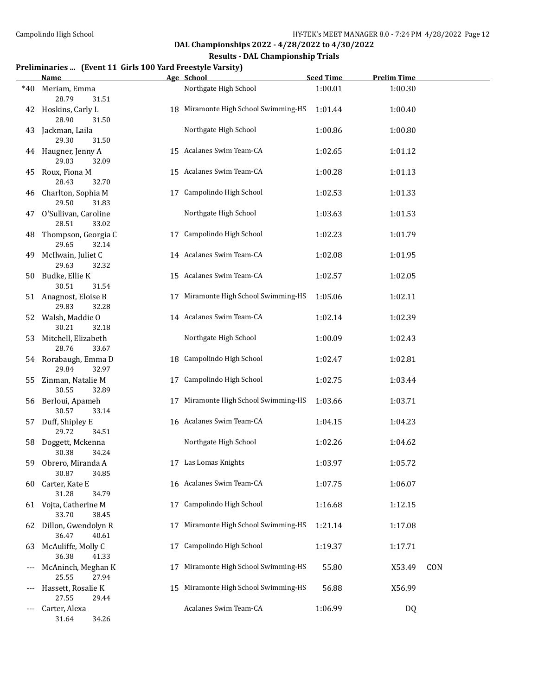#### **Results - DAL Championship Trials**

# **Preliminaries ... (Event 11 Girls 100 Yard Freestyle Varsity)**

|     | <b>Name</b>                             |    | Age School                           | <b>Seed Time</b> | <b>Prelim Time</b> |     |
|-----|-----------------------------------------|----|--------------------------------------|------------------|--------------------|-----|
| *40 | Meriam, Emma<br>28.79<br>31.51          |    | Northgate High School                | 1:00.01          | 1:00.30            |     |
| 42  | Hoskins, Carly L<br>28.90<br>31.50      |    | 18 Miramonte High School Swimming-HS | 1:01.44          | 1:00.40            |     |
| 43  | Jackman, Laila<br>29.30<br>31.50        |    | Northgate High School                | 1:00.86          | 1:00.80            |     |
|     | 44 Haugner, Jenny A<br>29.03<br>32.09   |    | 15 Acalanes Swim Team-CA             | 1:02.65          | 1:01.12            |     |
| 45  | Roux, Fiona M<br>28.43<br>32.70         |    | 15 Acalanes Swim Team-CA             | 1:00.28          | 1:01.13            |     |
| 46  | Charlton, Sophia M<br>29.50<br>31.83    | 17 | Campolindo High School               | 1:02.53          | 1:01.33            |     |
| 47  | O'Sullivan, Caroline<br>28.51<br>33.02  |    | Northgate High School                | 1:03.63          | 1:01.53            |     |
| 48  | Thompson, Georgia C<br>29.65<br>32.14   | 17 | Campolindo High School               | 1:02.23          | 1:01.79            |     |
| 49  | McIlwain, Juliet C<br>29.63<br>32.32    |    | 14 Acalanes Swim Team-CA             | 1:02.08          | 1:01.95            |     |
|     | 50 Budke, Ellie K<br>30.51<br>31.54     |    | 15 Acalanes Swim Team-CA             | 1:02.57          | 1:02.05            |     |
|     | 51 Anagnost, Eloise B<br>29.83<br>32.28 |    | 17 Miramonte High School Swimming-HS | 1:05.06          | 1:02.11            |     |
|     | 52 Walsh, Maddie O<br>30.21<br>32.18    |    | 14 Acalanes Swim Team-CA             | 1:02.14          | 1:02.39            |     |
| 53  | Mitchell, Elizabeth<br>28.76<br>33.67   |    | Northgate High School                | 1:00.09          | 1:02.43            |     |
|     | 54 Rorabaugh, Emma D<br>29.84<br>32.97  |    | 18 Campolindo High School            | 1:02.47          | 1:02.81            |     |
| 55  | Zinman, Natalie M<br>30.55<br>32.89     | 17 | Campolindo High School               | 1:02.75          | 1:03.44            |     |
|     | 56 Berloui, Apameh<br>30.57<br>33.14    | 17 | Miramonte High School Swimming-HS    | 1:03.66          | 1:03.71            |     |
|     | 57 Duff, Shipley E<br>29.72<br>34.51    |    | 16 Acalanes Swim Team-CA             | 1:04.15          | 1:04.23            |     |
| 58  | Doggett, Mckenna<br>30.38<br>34.24      |    | Northgate High School                | 1:02.26          | 1:04.62            |     |
| 59. | Obrero, Miranda A<br>30.87<br>34.85     |    | 17 Las Lomas Knights                 | 1:03.97          | 1:05.72            |     |
| 60  | Carter, Kate E<br>31.28<br>34.79        |    | 16 Acalanes Swim Team-CA             | 1:07.75          | 1:06.07            |     |
| 61  | Vojta, Catherine M<br>33.70<br>38.45    | 17 | Campolindo High School               | 1:16.68          | 1:12.15            |     |
| 62  | Dillon, Gwendolyn R<br>36.47<br>40.61   | 17 | Miramonte High School Swimming-HS    | 1:21.14          | 1:17.08            |     |
| 63  | McAuliffe, Molly C<br>36.38<br>41.33    | 17 | Campolindo High School               | 1:19.37          | 1:17.71            |     |
|     | McAninch, Meghan K<br>25.55<br>27.94    | 17 | Miramonte High School Swimming-HS    | 55.80            | X53.49             | CON |
|     | Hassett, Rosalie K<br>27.55<br>29.44    | 15 | Miramonte High School Swimming-HS    | 56.88            | X56.99             |     |
|     | Carter, Alexa<br>31.64<br>34.26         |    | Acalanes Swim Team-CA                | 1:06.99          | DQ                 |     |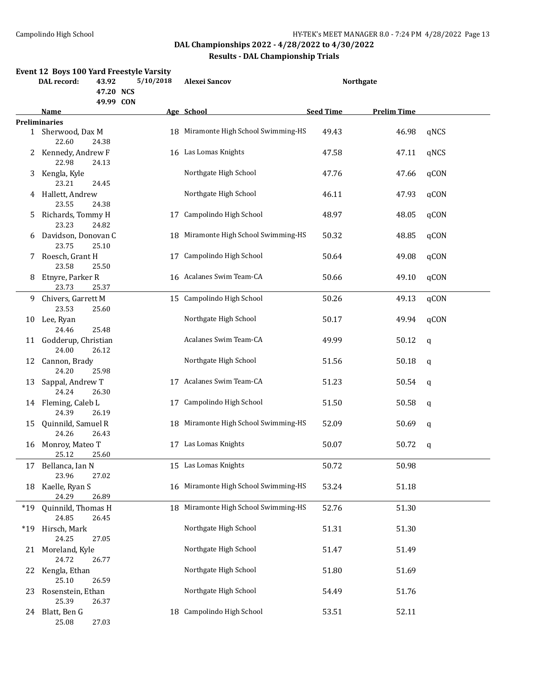|       | Event 12 Boys 100 Yard Freestyle Varsity<br>DAL record:<br>43.92<br>47.20 NCS<br>49.99 CON |                | 5/10/2018 | <b>Alexei Sancov</b>                 | <b>Northgate</b> |                    |             |
|-------|--------------------------------------------------------------------------------------------|----------------|-----------|--------------------------------------|------------------|--------------------|-------------|
|       | Name                                                                                       |                |           | Age School                           | <b>Seed Time</b> | <b>Prelim Time</b> |             |
|       | <b>Preliminaries</b>                                                                       |                |           |                                      |                  |                    |             |
|       | 1 Sherwood, Dax M<br>22.60                                                                 | 24.38          |           | 18 Miramonte High School Swimming-HS | 49.43            | 46.98              | qNCS        |
|       | 2 Kennedy, Andrew F<br>22.98                                                               | 24.13          |           | 16 Las Lomas Knights                 | 47.58            | 47.11              | qNCS        |
|       | 3 Kengla, Kyle<br>23.21                                                                    | 24.45          |           | Northgate High School                | 47.76            | 47.66              | qCON        |
|       | 4 Hallett, Andrew<br>23.55                                                                 | 24.38          |           | Northgate High School                | 46.11            | 47.93              | qCON        |
| 5     | Richards, Tommy H<br>23.23                                                                 | 24.82          | 17        | Campolindo High School               | 48.97            | 48.05              | qCON        |
| 6     | Davidson, Donovan C<br>23.75                                                               | 25.10          | 18        | Miramonte High School Swimming-HS    | 50.32            | 48.85              | qCON        |
|       | 7 Roesch, Grant H<br>23.58                                                                 | 25.50          | 17        | Campolindo High School               | 50.64            | 49.08              | qCON        |
|       | 8 Etnyre, Parker R<br>23.73                                                                | 25.37          |           | 16 Acalanes Swim Team-CA             | 50.66            | 49.10              | qCON        |
|       | 9 Chivers, Garrett M<br>23.53                                                              | 25.60          |           | 15 Campolindo High School            | 50.26            | 49.13              | qCON        |
|       | 10 Lee, Ryan<br>24.46                                                                      | 25.48          |           | Northgate High School                | 50.17            | 49.94              | qCON        |
|       | 11 Godderup, Christian<br>24.00                                                            | 26.12          |           | Acalanes Swim Team-CA                | 49.99            | 50.12              | $\mathbf q$ |
|       | 12 Cannon, Brady<br>24.20                                                                  | 25.98          |           | Northgate High School                | 51.56            | 50.18              | q           |
| 13    | Sappal, Andrew T<br>24.24                                                                  | 26.30          |           | 17 Acalanes Swim Team-CA             | 51.23            | 50.54              | q           |
|       | 14 Fleming, Caleb L<br>24.39                                                               | 26.19          |           | 17 Campolindo High School            | 51.50            | 50.58              | q           |
| 15    | Quinnild, Samuel R<br>24.26                                                                | 26.43          |           | 18 Miramonte High School Swimming-HS | 52.09            | 50.69              | q           |
| 16    | Monroy, Mateo T<br>25.12                                                                   | 25.60          |           | 17 Las Lomas Knights                 | 50.07            | 50.72              | q           |
| 17    | Bellanca, Ian N<br>23.96                                                                   | 27.02          |           | 15 Las Lomas Knights                 | 50.72            | 50.98              |             |
| 18    | Kaelle, Ryan S                                                                             | 26.89          |           | 16 Miramonte High School Swimming-HS | 53.24            | 51.18              |             |
| $*19$ | 24.29<br>Quinnild, Thomas H                                                                |                |           | 18 Miramonte High School Swimming-HS | 52.76            | 51.30              |             |
| $*19$ | 24.85<br>Hirsch, Mark<br>24.25                                                             | 26.45          |           | Northgate High School                | 51.31            | 51.30              |             |
| 21    | Moreland, Kyle<br>24.72                                                                    | 27.05<br>26.77 |           | Northgate High School                | 51.47            | 51.49              |             |
| 22    | Kengla, Ethan                                                                              |                |           | Northgate High School                | 51.80            | 51.69              |             |
| 23    | 25.10<br>Rosenstein, Ethan                                                                 | 26.59          |           | Northgate High School                | 54.49            | 51.76              |             |
| 24    | 25.39<br>Blatt, Ben G<br>25.08                                                             | 26.37<br>27.03 |           | 18 Campolindo High School            | 53.51            | 52.11              |             |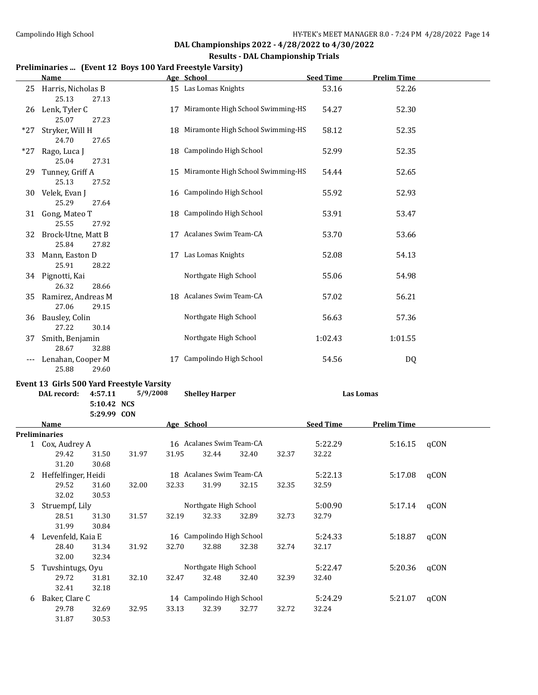#### **Results - DAL Championship Trials**

### **Preliminaries ... (Event 12 Boys 100 Yard Freestyle Varsity)**

|       | Name                                 |    | Age School                           | <b>Seed Time</b> | <b>Prelim Time</b> |  |
|-------|--------------------------------------|----|--------------------------------------|------------------|--------------------|--|
| 25    | Harris, Nicholas B<br>25.13<br>27.13 |    | 15 Las Lomas Knights                 | 53.16            | 52.26              |  |
| 26    | Lenk, Tyler C<br>25.07<br>27.23      | 17 | Miramonte High School Swimming-HS    | 54.27            | 52.30              |  |
| $*27$ | Stryker, Will H<br>24.70<br>27.65    |    | 18 Miramonte High School Swimming-HS | 58.12            | 52.35              |  |
| $*27$ | Rago, Luca J<br>25.04<br>27.31       |    | 18 Campolindo High School            | 52.99            | 52.35              |  |
| 29    | Tunney, Griff A<br>25.13<br>27.52    |    | 15 Miramonte High School Swimming-HS | 54.44            | 52.65              |  |
| 30    | Velek, Evan J<br>25.29<br>27.64      |    | 16 Campolindo High School            | 55.92            | 52.93              |  |
| 31    | Gong, Mateo T<br>25.55<br>27.92      |    | 18 Campolindo High School            | 53.91            | 53.47              |  |
| 32    | Brock-Utne, Matt B<br>25.84<br>27.82 |    | 17 Acalanes Swim Team-CA             | 53.70            | 53.66              |  |
| 33    | Mann, Easton D<br>25.91<br>28.22     |    | 17 Las Lomas Knights                 | 52.08            | 54.13              |  |
|       | 34 Pignotti, Kai<br>28.66<br>26.32   |    | Northgate High School                | 55.06            | 54.98              |  |
| 35    | Ramirez, Andreas M<br>27.06<br>29.15 |    | 18 Acalanes Swim Team-CA             | 57.02            | 56.21              |  |
| 36    | Bausley, Colin<br>27.22<br>30.14     |    | Northgate High School                | 56.63            | 57.36              |  |
| 37    | Smith, Benjamin<br>28.67<br>32.88    |    | Northgate High School                | 1:02.43          | 1:01.55            |  |
|       | Lenahan, Cooper M<br>25.88<br>29.60  | 17 | Campolindo High School               | 54.56            | DQ                 |  |

### **Event 13 Girls 500 Yard Freestyle Varsity**

|   | DAL record:         | 4:57.11<br>5:10.42 NCS<br>5:29.99 CON | 5/9/2008 |            | <b>Shelley Harper</b>     |       |       |                  | Las Lomas          |      |  |
|---|---------------------|---------------------------------------|----------|------------|---------------------------|-------|-------|------------------|--------------------|------|--|
|   | Name                |                                       |          | Age School |                           |       |       | <b>Seed Time</b> | <b>Prelim Time</b> |      |  |
|   | Preliminaries       |                                       |          |            |                           |       |       |                  |                    |      |  |
|   | 1 Cox, Audrey A     |                                       |          |            | 16 Acalanes Swim Team-CA  |       |       | 5:22.29          | 5:16.15            | qCON |  |
|   | 29.42               | 31.50                                 | 31.97    | 31.95      | 32.44                     | 32.40 | 32.37 | 32.22            |                    |      |  |
|   | 31.20               | 30.68                                 |          |            |                           |       |       |                  |                    |      |  |
| 2 | Heffelfinger, Heidi |                                       |          |            | 18 Acalanes Swim Team-CA  |       |       | 5:22.13          | 5:17.08            | qCON |  |
|   | 29.52               | 31.60                                 | 32.00    | 32.33      | 31.99                     | 32.15 | 32.35 | 32.59            |                    |      |  |
|   | 32.02               | 30.53                                 |          |            |                           |       |       |                  |                    |      |  |
| 3 | Struempf, Lily      |                                       |          |            | Northgate High School     |       |       | 5:00.90          | 5:17.14            | qCON |  |
|   | 28.51               | 31.30                                 | 31.57    | 32.19      | 32.33                     | 32.89 | 32.73 | 32.79            |                    |      |  |
|   | 31.99               | 30.84                                 |          |            |                           |       |       |                  |                    |      |  |
| 4 | Levenfeld, Kaia E   |                                       |          |            | 16 Campolindo High School |       |       | 5:24.33          | 5:18.87            | qCON |  |
|   | 28.40               | 31.34                                 | 31.92    | 32.70      | 32.88                     | 32.38 | 32.74 | 32.17            |                    |      |  |
|   | 32.00               | 32.34                                 |          |            |                           |       |       |                  |                    |      |  |
| 5 | Tuvshintugs, Oyu    |                                       |          |            | Northgate High School     |       |       | 5:22.47          | 5:20.36            | qCON |  |
|   | 29.72               | 31.81                                 | 32.10    | 32.47      | 32.48                     | 32.40 | 32.39 | 32.40            |                    |      |  |
|   | 32.41               | 32.18                                 |          |            |                           |       |       |                  |                    |      |  |
| 6 | Baker, Clare C      |                                       |          |            | 14 Campolindo High School |       |       | 5:24.29          | 5:21.07            | qCON |  |
|   | 29.78               | 32.69                                 | 32.95    | 33.13      | 32.39                     | 32.77 | 32.72 | 32.24            |                    |      |  |
|   | 31.87               | 30.53                                 |          |            |                           |       |       |                  |                    |      |  |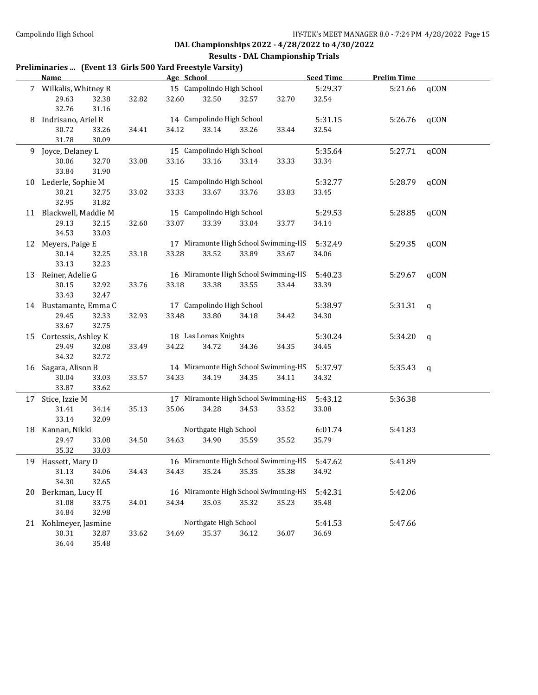#### **Results - DAL Championship Trials**

#### **Preliminaries ... (Event 13 Girls 500 Yard Freestyle Varsity)**

|    | <b>Name</b>            |       |       | Age School |                           |       |                                      | <b>Seed Time</b> | <b>Prelim Time</b> |              |
|----|------------------------|-------|-------|------------|---------------------------|-------|--------------------------------------|------------------|--------------------|--------------|
|    | 7 Wilkalis, Whitney R  |       |       |            | 15 Campolindo High School |       |                                      | 5:29.37          | 5:21.66            | qCON         |
|    | 29.63                  | 32.38 | 32.82 | 32.60      | 32.50                     | 32.57 | 32.70                                | 32.54            |                    |              |
|    | 32.76                  | 31.16 |       |            |                           |       |                                      |                  |                    |              |
| 8  | Indrisano, Ariel R     |       |       |            | 14 Campolindo High School |       |                                      | 5:31.15          | 5:26.76            | qCON         |
|    | 30.72                  | 33.26 | 34.41 | 34.12      | 33.14                     | 33.26 | 33.44                                | 32.54            |                    |              |
|    | 31.78                  | 30.09 |       |            |                           |       |                                      |                  |                    |              |
|    | 9 Joyce, Delaney L     |       |       |            | 15 Campolindo High School |       |                                      | 5:35.64          | 5:27.71            | qCON         |
|    | 30.06                  | 32.70 | 33.08 | 33.16      | 33.16                     | 33.14 | 33.33                                | 33.34            |                    |              |
|    | 33.84                  | 31.90 |       |            |                           |       |                                      |                  |                    |              |
|    | 10 Lederle, Sophie M   |       |       |            | 15 Campolindo High School |       |                                      | 5:32.77          | 5:28.79            | qCON         |
|    | 30.21                  | 32.75 | 33.02 | 33.33      | 33.67                     | 33.76 | 33.83                                | 33.45            |                    |              |
|    | 32.95                  | 31.82 |       |            |                           |       |                                      |                  |                    |              |
|    |                        |       |       |            | 15 Campolindo High School |       |                                      | 5:29.53          | 5:28.85            |              |
|    | 11 Blackwell, Maddie M |       |       |            |                           |       |                                      |                  |                    | qCON         |
|    | 29.13                  | 32.15 | 32.60 | 33.07      | 33.39                     | 33.04 | 33.77                                | 34.14            |                    |              |
|    | 34.53                  | 33.03 |       |            |                           |       | 17 Miramonte High School Swimming-HS |                  |                    |              |
|    | 12 Meyers, Paige E     |       |       |            |                           |       |                                      | 5:32.49          | 5:29.35            | qCON         |
|    | 30.14                  | 32.25 | 33.18 | 33.28      | 33.52                     | 33.89 | 33.67                                | 34.06            |                    |              |
|    | 33.13                  | 32.23 |       |            |                           |       |                                      |                  |                    |              |
|    | 13 Reiner, Adelie G    |       |       |            |                           |       | 16 Miramonte High School Swimming-HS | 5:40.23          | 5:29.67            | qCON         |
|    | 30.15                  | 32.92 | 33.76 | 33.18      | 33.38                     | 33.55 | 33.44                                | 33.39            |                    |              |
|    | 33.43                  | 32.47 |       |            |                           |       |                                      |                  |                    |              |
|    | 14 Bustamante, Emma C  |       |       |            | 17 Campolindo High School |       |                                      | 5:38.97          | 5:31.31            | $\mathbf{q}$ |
|    | 29.45                  | 32.33 | 32.93 | 33.48      | 33.80                     | 34.18 | 34.42                                | 34.30            |                    |              |
|    | 33.67                  | 32.75 |       |            |                           |       |                                      |                  |                    |              |
|    | 15 Cortessis, Ashley K |       |       |            | 18 Las Lomas Knights      |       |                                      | 5:30.24          | 5:34.20            | $\mathsf{q}$ |
|    | 29.49                  | 32.08 | 33.49 | 34.22      | 34.72                     | 34.36 | 34.35                                | 34.45            |                    |              |
|    | 34.32                  | 32.72 |       |            |                           |       |                                      |                  |                    |              |
|    | 16 Sagara, Alison B    |       |       |            |                           |       | 14 Miramonte High School Swimming-HS | 5:37.97          | 5:35.43            | q            |
|    | 30.04                  | 33.03 | 33.57 | 34.33      | 34.19                     | 34.35 | 34.11                                | 34.32            |                    |              |
|    | 33.87                  | 33.62 |       |            |                           |       |                                      |                  |                    |              |
|    | 17 Stice, Izzie M      |       |       |            |                           |       | 17 Miramonte High School Swimming-HS | 5:43.12          | 5:36.38            |              |
|    | 31.41                  | 34.14 | 35.13 | 35.06      | 34.28                     | 34.53 | 33.52                                | 33.08            |                    |              |
|    | 33.14                  | 32.09 |       |            |                           |       |                                      |                  |                    |              |
|    | 18 Kannan, Nikki       |       |       |            | Northgate High School     |       |                                      | 6:01.74          | 5:41.83            |              |
|    | 29.47                  | 33.08 | 34.50 | 34.63      | 34.90                     | 35.59 | 35.52                                | 35.79            |                    |              |
|    | 35.32                  | 33.03 |       |            |                           |       |                                      |                  |                    |              |
|    | 19 Hassett, Mary D     |       |       |            |                           |       | 16 Miramonte High School Swimming-HS | 5:47.62          | 5:41.89            |              |
|    | 31.13                  | 34.06 | 34.43 | 34.43      | 35.24                     | 35.35 | 35.38                                | 34.92            |                    |              |
|    | 34.30                  | 32.65 |       |            |                           |       |                                      |                  |                    |              |
| 20 | Berkman, Lucy H        |       |       |            |                           |       | 16 Miramonte High School Swimming-HS | 5:42.31          | 5:42.06            |              |
|    | 31.08                  | 33.75 | 34.01 | 34.34      | 35.03                     | 35.32 | 35.23                                | 35.48            |                    |              |
|    | 34.84                  | 32.98 |       |            |                           |       |                                      |                  |                    |              |
| 21 | Kohlmeyer, Jasmine     |       |       |            | Northgate High School     |       |                                      | 5:41.53          | 5:47.66            |              |
|    | 30.31                  | 32.87 | 33.62 | 34.69      | 35.37                     | 36.12 | 36.07                                | 36.69            |                    |              |
|    | 36.44                  | 35.48 |       |            |                           |       |                                      |                  |                    |              |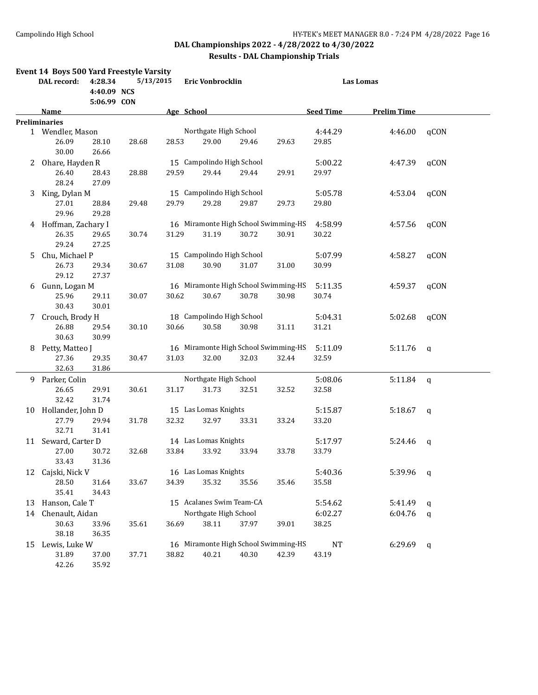|    | Event 14 Boys 500 Yard Freestyle Varsity |                        |           |            | Eric Vonbrocklin |                                      |       | Las Lomas |                  |                    |              |  |
|----|------------------------------------------|------------------------|-----------|------------|------------------|--------------------------------------|-------|-----------|------------------|--------------------|--------------|--|
|    | DAL record:                              | 4:28.34<br>4:40.09 NCS | 5/13/2015 |            |                  |                                      |       |           |                  |                    |              |  |
|    | Name                                     | 5:06.99 CON            |           | Age School |                  |                                      |       |           | <b>Seed Time</b> | <b>Prelim Time</b> |              |  |
|    | <b>Preliminaries</b>                     |                        |           |            |                  |                                      |       |           |                  |                    |              |  |
|    | 1 Wendler, Mason                         |                        |           |            |                  | Northgate High School                |       |           | 4:44.29          | 4:46.00            | qCON         |  |
|    | 26.09<br>30.00                           | 28.10<br>26.66         | 28.68     | 28.53      |                  | 29.00                                | 29.46 | 29.63     | 29.85            |                    |              |  |
| 2  | Ohare, Hayden R                          |                        |           |            |                  | 15 Campolindo High School            |       |           | 5:00.22          | 4:47.39            | qCON         |  |
|    | 26.40<br>28.24                           | 28.43<br>27.09         | 28.88     | 29.59      |                  | 29.44                                | 29.44 | 29.91     | 29.97            |                    |              |  |
| 3  | King, Dylan M                            |                        |           |            |                  | 15 Campolindo High School            |       |           | 5:05.78          | 4:53.04            | qCON         |  |
|    | 27.01                                    | 28.84                  | 29.48     | 29.79      |                  | 29.28                                | 29.87 | 29.73     | 29.80            |                    |              |  |
|    | 29.96                                    | 29.28                  |           |            |                  |                                      |       |           |                  |                    |              |  |
|    | 4 Hoffman, Zachary I                     |                        |           |            |                  | 16 Miramonte High School Swimming-HS |       |           | 4:58.99          | 4:57.56            | qCON         |  |
|    | 26.35                                    | 29.65                  | 30.74     | 31.29      |                  | 31.19                                | 30.72 | 30.91     | 30.22            |                    |              |  |
|    | 29.24                                    | 27.25                  |           |            |                  |                                      |       |           |                  |                    |              |  |
| 5  | Chu, Michael P                           |                        |           |            |                  | 15 Campolindo High School            |       |           | 5:07.99          | 4:58.27            | qCON         |  |
|    | 26.73                                    | 29.34                  | 30.67     | 31.08      |                  | 30.90                                | 31.07 | 31.00     | 30.99            |                    |              |  |
|    | 29.12                                    | 27.37                  |           |            |                  |                                      |       |           |                  |                    |              |  |
| 6  | Gunn, Logan M                            |                        |           |            |                  | 16 Miramonte High School Swimming-HS |       |           | 5:11.35          | 4:59.37            | qCON         |  |
|    | 25.96                                    | 29.11                  | 30.07     | 30.62      |                  | 30.67                                | 30.78 | 30.98     | 30.74            |                    |              |  |
|    | 30.43                                    | 30.01                  |           |            |                  |                                      |       |           |                  |                    |              |  |
| 7  | Crouch, Brody H                          |                        |           |            |                  | 18 Campolindo High School            |       |           | 5:04.31          | 5:02.68            | qCON         |  |
|    | 26.88                                    | 29.54                  | 30.10     | 30.66      |                  | 30.58                                | 30.98 | 31.11     | 31.21            |                    |              |  |
|    | 30.63                                    | 30.99                  |           |            |                  |                                      |       |           |                  |                    |              |  |
| 8  | Petty, Matteo J                          |                        |           |            |                  | 16 Miramonte High School Swimming-HS |       |           | 5:11.09          | 5:11.76            | $\mathsf{q}$ |  |
|    | 27.36                                    | 29.35                  | 30.47     | 31.03      |                  | 32.00                                | 32.03 | 32.44     | 32.59            |                    |              |  |
|    | 32.63                                    | 31.86                  |           |            |                  |                                      |       |           |                  |                    |              |  |
|    | 9 Parker, Colin                          |                        |           |            |                  | Northgate High School                |       |           | 5:08.06          | 5:11.84            | q            |  |
|    | 26.65                                    | 29.91                  | 30.61     | 31.17      |                  | 31.73                                | 32.51 | 32.52     | 32.58            |                    |              |  |
|    | 32.42                                    | 31.74                  |           |            |                  |                                      |       |           |                  |                    |              |  |
| 10 | Hollander, John D                        |                        |           |            |                  | 15 Las Lomas Knights                 |       |           | 5:15.87          | 5:18.67            | $\mathbf q$  |  |
|    | 27.79                                    | 29.94                  | 31.78     | 32.32      |                  | 32.97                                | 33.31 | 33.24     | 33.20            |                    |              |  |
|    | 32.71                                    | 31.41                  |           |            |                  |                                      |       |           |                  |                    |              |  |
| 11 | Seward, Carter D                         |                        |           |            |                  | 14 Las Lomas Knights                 |       |           | 5:17.97          | 5:24.46            | q            |  |
|    | 27.00                                    | 30.72                  | 32.68     | 33.84      |                  | 33.92                                | 33.94 | 33.78     | 33.79            |                    |              |  |
|    | 33.43                                    | 31.36                  |           |            |                  |                                      |       |           |                  |                    |              |  |
| 12 | Cajski, Nick V                           |                        |           |            |                  | 16 Las Lomas Knights                 |       |           | 5:40.36          | 5:39.96            | q            |  |
|    | 28.50                                    | 31.64                  | 33.67     | 34.39      |                  | 35.32                                | 35.56 | 35.46     | 35.58            |                    |              |  |
|    | 35.41                                    | 34.43                  |           |            |                  |                                      |       |           |                  |                    |              |  |
| 13 | Hanson, Cale T                           |                        |           |            |                  | 15 Acalanes Swim Team-CA             |       |           | 5:54.62          | 5:41.49            | q            |  |
| 14 | Chenault, Aidan                          |                        |           |            |                  | Northgate High School                |       |           | 6:02.27          | 6:04.76            | q            |  |
|    | 30.63                                    | 33.96                  | 35.61     | 36.69      |                  | 38.11                                | 37.97 | 39.01     | 38.25            |                    |              |  |
|    | 38.18                                    | 36.35                  |           |            |                  |                                      |       |           |                  |                    |              |  |
| 15 | Lewis, Luke W                            |                        |           |            |                  | 16 Miramonte High School Swimming-HS |       |           | <b>NT</b>        | 6:29.69            | q            |  |
|    | 31.89                                    | 37.00                  | 37.71     | 38.82      |                  | 40.21                                | 40.30 | 42.39     | 43.19            |                    |              |  |
|    | 42.26                                    | 35.92                  |           |            |                  |                                      |       |           |                  |                    |              |  |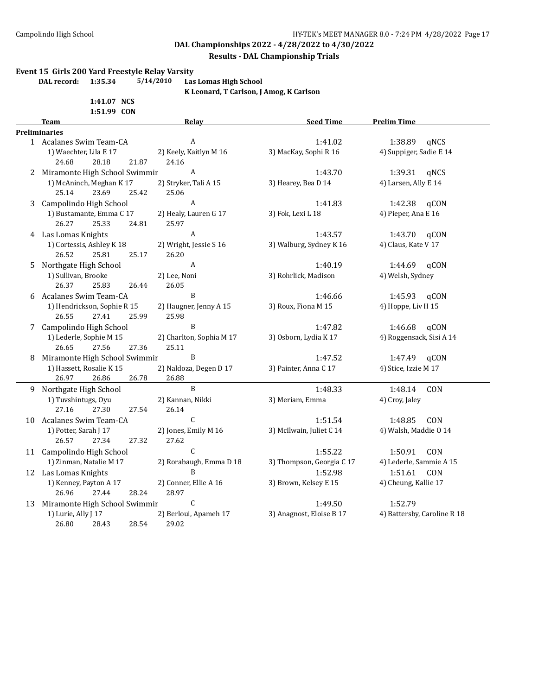#### **Results - DAL Championship Trials**

#### **Event 15 Girls 200 Yard Freestyle Relay Varsity**

**DAL record: 1:35.34 5/14/2010 Las Lomas High School**

**K Leonard, T Carlson, J Amog, K Carlson**

|    | 1:41.07 NCS                   |                          |                           |                             |
|----|-------------------------------|--------------------------|---------------------------|-----------------------------|
|    | 1:51.99 CON<br>Team           | Relay                    | <b>Seed Time</b>          | <b>Prelim Time</b>          |
|    | <b>Preliminaries</b>          |                          |                           |                             |
|    | 1 Acalanes Swim Team-CA       | A                        | 1:41.02                   | 1:38.89<br>qNCS             |
|    | 1) Waechter, Lila E 17        | 2) Keely, Kaitlyn M 16   | 3) MacKay, Sophi R 16     | 4) Suppiger, Sadie E 14     |
|    | 24.68<br>28.18<br>21.87       | 24.16                    |                           |                             |
| 2  | Miramonte High School Swimmir | A                        | 1:43.70                   | 1:39.31<br>qNCS             |
|    | 1) McAninch, Meghan K 17      | 2) Stryker, Tali A 15    | 3) Hearey, Bea D 14       | 4) Larsen, Ally E 14        |
|    | 25.14<br>23.69<br>25.42       | 25.06                    |                           |                             |
| 3  | Campolindo High School        | A                        | 1:41.83                   | 1:42.38<br>qCON             |
|    | 1) Bustamante, Emma C 17      | 2) Healy, Lauren G 17    | 3) Fok, Lexi L 18         | 4) Pieper, Ana E 16         |
|    | 26.27<br>25.33<br>24.81       | 25.97                    |                           |                             |
|    | 4 Las Lomas Knights           | A                        | 1:43.57                   | 1:43.70<br>qCON             |
|    | 1) Cortessis, Ashley K 18     | 2) Wright, Jessie S 16   | 3) Walburg, Sydney K 16   | 4) Claus, Kate V 17         |
|    | 26.52<br>25.81<br>25.17       | 26.20                    |                           |                             |
| 5. | Northgate High School         | A                        | 1:40.19                   | aCON<br>1:44.69             |
|    | 1) Sullivan, Brooke           | 2) Lee, Noni             | 3) Rohrlick, Madison      | 4) Welsh, Sydney            |
|    | 26.37<br>25.83<br>26.44       | 26.05                    |                           |                             |
| 6  | Acalanes Swim Team-CA         | B                        | 1:46.66                   | 1:45.93<br>aCON             |
|    | 1) Hendrickson, Sophie R 15   | 2) Haugner, Jenny A 15   | 3) Roux, Fiona M 15       | 4) Hoppe, Liv H 15          |
|    | 26.55<br>27.41<br>25.99       | 25.98                    |                           |                             |
|    | 7 Campolindo High School      | B                        | 1:47.82                   | 1:46.68<br>qCON             |
|    | 1) Lederle, Sophie M 15       | 2) Charlton, Sophia M 17 | 3) Osborn, Lydia K 17     | 4) Roggensack, Sisi A 14    |
|    | 26.65<br>27.56<br>27.36       | 25.11                    |                           |                             |
| 8  | Miramonte High School Swimmir | B                        | 1:47.52                   | 1:47.49<br>qCON             |
|    | 1) Hassett, Rosalie K 15      | 2) Naldoza, Degen D 17   | 3) Painter, Anna C 17     | 4) Stice, Izzie M 17        |
|    | 26.97<br>26.78<br>26.86       | 26.88                    |                           |                             |
|    | 9 Northgate High School       | $\mathbf{B}$             | 1:48.33                   | 1:48.14<br>CON              |
|    | 1) Tuvshintugs, Oyu           | 2) Kannan, Nikki         | 3) Meriam, Emma           | 4) Croy, Jaley              |
|    | 27.16<br>27.30<br>27.54       | 26.14                    |                           |                             |
|    | 10 Acalanes Swim Team-CA      | C                        | 1:51.54                   | 1:48.85<br>CON              |
|    | 1) Potter, Sarah J 17         | 2) Jones, Emily M 16     | 3) McIlwain, Juliet C 14  | 4) Walsh, Maddie O 14       |
|    | 26.57<br>27.34<br>27.32       | 27.62                    |                           |                             |
|    | 11 Campolindo High School     | $\mathcal{C}$            | 1:55.22                   | 1:50.91<br>CON              |
|    | 1) Zinman, Natalie M 17       | 2) Rorabaugh, Emma D 18  | 3) Thompson, Georgia C 17 | 4) Lederle, Sammie A 15     |
|    | 12 Las Lomas Knights          | B                        | 1:52.98                   | 1:51.61<br><b>CON</b>       |
|    | 1) Kenney, Payton A 17        | 2) Conner, Ellie A 16    | 3) Brown, Kelsey E 15     | 4) Cheung, Kallie 17        |
|    | 26.96<br>27.44<br>28.24       | 28.97                    |                           |                             |
| 13 | Miramonte High School Swimmir | $\mathsf C$              | 1:49.50                   | 1:52.79                     |
|    | 1) Lurie, Ally J 17           | 2) Berloui, Apameh 17    | 3) Anagnost, Eloise B 17  | 4) Battersby, Caroline R 18 |
|    | 26.80<br>28.54<br>28.43       | 29.02                    |                           |                             |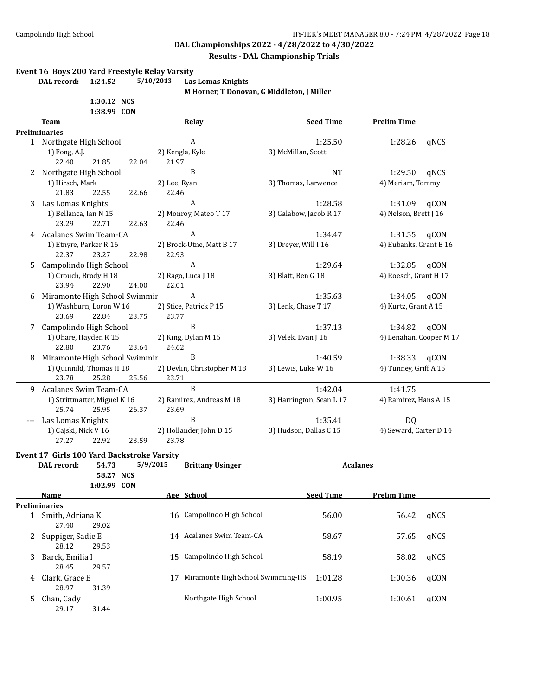#### **Results - DAL Championship Trials**

#### **Event 16 Boys 200 Yard Freestyle Relay Varsity**

**DAL record: 1:24.52 5/10/2013 Las Lomas Knights**

**M Horner, T Donovan, G Middleton, J Miller**

|      | 1:30.12 NCS |  |
|------|-------------|--|
|      | 1:38.99 CON |  |
| Team |             |  |
|      |             |  |

28.12 29.53

28.45 29.57

28.97 31.39

29.17 31.44

|   | <b>Team</b>                                | <b>Relay</b>                        | <b>Seed Time</b>         | <b>Prelim Time</b>      |
|---|--------------------------------------------|-------------------------------------|--------------------------|-------------------------|
|   | <b>Preliminaries</b>                       |                                     |                          |                         |
|   | 1 Northgate High School                    | $\,$ A                              | 1:25.50                  | 1:28.26<br>qNCS         |
|   | 1) Fong, A.J.                              | 2) Kengla, Kyle                     | 3) McMillan, Scott       |                         |
|   | 22.40<br>21.85<br>22.04                    | 21.97                               |                          |                         |
|   | 2 Northgate High School                    | B                                   | <b>NT</b>                | qNCS<br>1:29.50         |
|   | 1) Hirsch, Mark                            | 2) Lee, Ryan                        | 3) Thomas, Larwence      | 4) Meriam, Tommy        |
|   | 21.83<br>22.55<br>22.66                    | 22.46                               |                          |                         |
| 3 | Las Lomas Knights                          | $\boldsymbol{A}$                    | 1:28.58                  | 1:31.09<br>qCON         |
|   | 1) Bellanca, Ian N 15                      | 2) Monroy, Mateo T 17               | 3) Galabow, Jacob R 17   | 4) Nelson, Brett J 16   |
|   | 23.29<br>22.71<br>22.63                    | 22.46                               |                          |                         |
|   | 4 Acalanes Swim Team-CA                    | $\overline{A}$                      | 1:34.47                  | 1:31.55<br>qCON         |
|   | 1) Etnyre, Parker R 16                     | 2) Brock-Utne, Matt B 17            | 3) Dreyer, Will I 16     | 4) Eubanks, Grant E 16  |
|   | 22.37<br>23.27<br>22.98                    | 22.93                               |                          |                         |
| 5 | Campolindo High School                     | $\boldsymbol{A}$                    | 1:29.64                  | 1:32.85<br>qCON         |
|   | 1) Crouch, Brody H 18                      | 2) Rago, Luca J 18                  | 3) Blatt, Ben G 18       | 4) Roesch, Grant H 17   |
|   | 23.94<br>22.90<br>24.00                    | 22.01                               |                          |                         |
| 6 | Miramonte High School Swimmir              | A                                   | 1:35.63                  | 1:34.05<br>qCON         |
|   | 1) Washburn, Loron W 16                    | 2) Stice, Patrick P 15              | 3) Lenk, Chase T 17      | 4) Kurtz, Grant A 15    |
|   | 23.69<br>22.84<br>23.75                    | 23.77                               |                          |                         |
| 7 | Campolindo High School                     | B                                   | 1:37.13                  | 1:34.82<br>qCON         |
|   | 1) Ohare, Hayden R 15                      | 2) King, Dylan M 15                 | 3) Velek, Evan J 16      | 4) Lenahan, Cooper M 17 |
|   | 22.80<br>23.76<br>23.64                    | 24.62                               |                          |                         |
|   | 8 Miramonte High School Swimmir            | B                                   | 1:40.59                  | 1:38.33<br>qCON         |
|   | 1) Quinnild, Thomas H 18                   | 2) Devlin, Christopher M 18         | 3) Lewis, Luke W 16      | 4) Tunney, Griff A 15   |
|   | 25.28<br>25.56<br>23.78                    | 23.71                               |                          |                         |
|   | 9 Acalanes Swim Team-CA                    | $\, {\bf B}$                        | 1:42.04                  | 1:41.75                 |
|   | 1) Strittmatter, Miguel K 16               | 2) Ramirez, Andreas M 18            | 3) Harrington, Sean L 17 | 4) Ramirez, Hans A 15   |
|   | 25.74<br>25.95<br>26.37                    | 23.69                               |                          |                         |
|   | Las Lomas Knights                          | B                                   | 1:35.41                  | DQ                      |
|   | 1) Cajski, Nick V 16                       | 2) Hollander, John D 15             | 3) Hudson, Dallas C 15   | 4) Seward, Carter D 14  |
|   | 27.27<br>22.92<br>23.59                    | 23.78                               |                          |                         |
|   | Event 17 Girls 100 Yard Backstroke Varsity |                                     |                          |                         |
|   | 54.73<br>DAL record:                       | 5/9/2015<br><b>Brittany Usinger</b> | <b>Acalanes</b>          |                         |
|   | 58.27 NCS                                  |                                     |                          |                         |
|   | 1:02.99 CON                                |                                     |                          |                         |
|   | Name                                       | Age School                          | <b>Seed Time</b>         | <b>Prelim Time</b>      |
|   | <b>Preliminaries</b>                       |                                     |                          |                         |
|   | 1 Smith, Adriana K                         | 16 Campolindo High School           | 56.00                    | 56.42<br>qNCS           |
|   | 27.40<br>29.02                             |                                     |                          |                         |
|   | 2 Suppiger, Sadie E                        | 14 Acalanes Swim Team-CA            | 58.67                    | qNCS<br>57.65           |
|   |                                            |                                     |                          |                         |

3 Barck, Emilia I 15 Campolindo High School 58.19 58.02 qNCS

4 Clark, Grace E 17 Miramonte High School Swimming-HS 1:01.28 1:00.36 qCON

5 Chan, Cady **Northgate High School** 1:00.95 1:00.61 qCON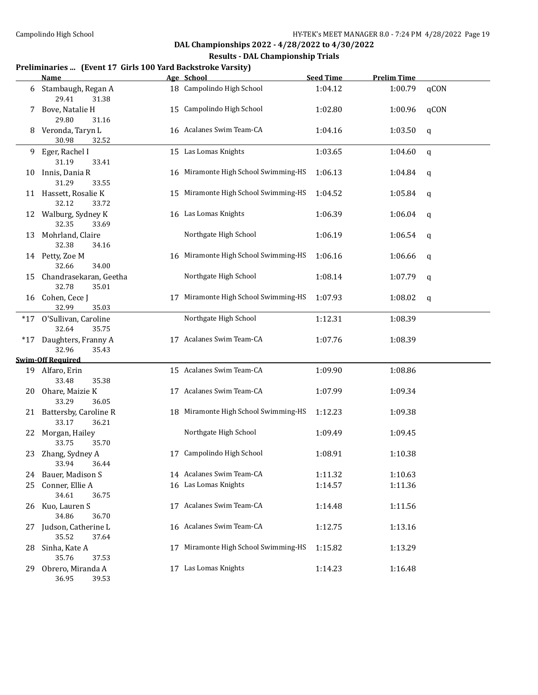#### **Results - DAL Championship Trials**

### **Preliminaries ... (Event 17 Girls 100 Yard Backstroke Varsity)**

|     | <b>Name</b>                                |    | Age School                           | <b>Seed Time</b> | <b>Prelim Time</b> |      |
|-----|--------------------------------------------|----|--------------------------------------|------------------|--------------------|------|
| 6   | Stambaugh, Regan A<br>29.41<br>31.38       |    | 18 Campolindo High School            | 1:04.12          | 1:00.79            | qCON |
| 7   | Bove, Natalie H<br>29.80<br>31.16          |    | 15 Campolindo High School            | 1:02.80          | 1:00.96            | qCON |
| 8   | Veronda, Taryn L<br>30.98<br>32.52         |    | 16 Acalanes Swim Team-CA             | 1:04.16          | 1:03.50            | q    |
| 9.  | Eger, Rachel I<br>31.19<br>33.41           |    | 15 Las Lomas Knights                 | 1:03.65          | 1:04.60            | q    |
| 10  | Innis, Dania R<br>31.29<br>33.55           |    | 16 Miramonte High School Swimming-HS | 1:06.13          | 1:04.84            | q    |
|     | 11 Hassett, Rosalie K<br>32.12<br>33.72    |    | 15 Miramonte High School Swimming-HS | 1:04.52          | 1:05.84            | q    |
| 12  | Walburg, Sydney K<br>32.35<br>33.69        |    | 16 Las Lomas Knights                 | 1:06.39          | 1:06.04            | q    |
| 13  | Mohrland, Claire<br>32.38<br>34.16         |    | Northgate High School                | 1:06.19          | 1:06.54            | q    |
|     | 14 Petty, Zoe M<br>32.66<br>34.00          |    | 16 Miramonte High School Swimming-HS | 1:06.16          | 1:06.66            | q    |
| 15  | Chandrasekaran, Geetha<br>32.78<br>35.01   |    | Northgate High School                | 1:08.14          | 1:07.79            | q    |
| 16  | Cohen, Cece J<br>32.99<br>35.03            | 17 | Miramonte High School Swimming-HS    | 1:07.93          | 1:08.02            | q    |
|     | *17 O'Sullivan, Caroline<br>32.64<br>35.75 |    | Northgate High School                | 1:12.31          | 1:08.39            |      |
|     | *17 Daughters, Franny A<br>32.96<br>35.43  |    | 17 Acalanes Swim Team-CA             | 1:07.76          | 1:08.39            |      |
|     | <b>Swim-Off Required</b>                   |    |                                      |                  |                    |      |
|     | 19 Alfaro, Erin<br>33.48<br>35.38          |    | 15 Acalanes Swim Team-CA             | 1:09.90          | 1:08.86            |      |
| 20. | Ohare, Maizie K<br>33.29<br>36.05          |    | 17 Acalanes Swim Team-CA             | 1:07.99          | 1:09.34            |      |
|     | 21 Battersby, Caroline R<br>33.17<br>36.21 |    | 18 Miramonte High School Swimming-HS | 1:12.23          | 1:09.38            |      |
|     | 22 Morgan, Hailey<br>33.75<br>35.70        |    | Northgate High School                | 1:09.49          | 1:09.45            |      |
| 23  | Zhang, Sydney A<br>33.94 36.44             | 17 | Campolindo High School               | 1:08.91          | 1:10.38            |      |
|     | 24 Bauer, Madison S                        |    | 14 Acalanes Swim Team-CA             | 1:11.32          | 1:10.63            |      |
| 25  | Conner, Ellie A                            |    | 16 Las Lomas Knights                 | 1:14.57          | 1:11.36            |      |
|     | 34.61<br>36.75                             |    |                                      |                  |                    |      |
| 26  | Kuo, Lauren S<br>34.86<br>36.70            |    | 17 Acalanes Swim Team-CA             | 1:14.48          | 1:11.56            |      |
| 27. | Judson, Catherine L<br>35.52<br>37.64      |    | 16 Acalanes Swim Team-CA             | 1:12.75          | 1:13.16            |      |
| 28. | Sinha, Kate A<br>35.76<br>37.53            | 17 | Miramonte High School Swimming-HS    | 1:15.82          | 1:13.29            |      |
| 29  | Obrero, Miranda A<br>36.95<br>39.53        |    | 17 Las Lomas Knights                 | 1:14.23          | 1:16.48            |      |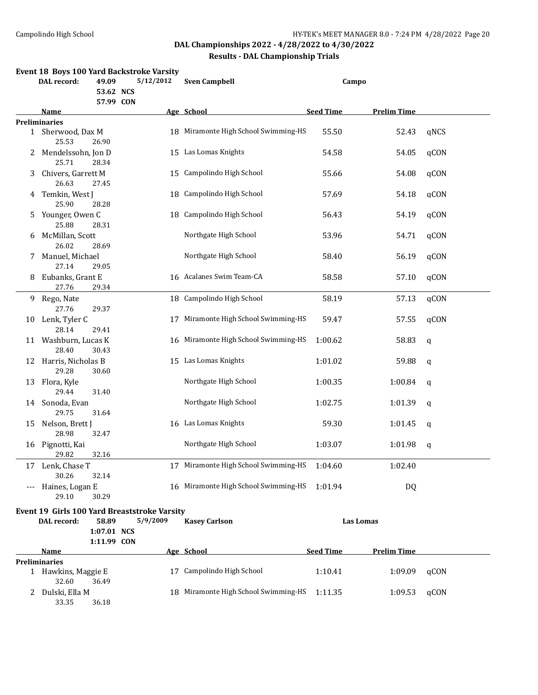|    | DAL record:                                 | 49.09                | Event 18 Boys 100 Yard Backstroke Varsity<br>5/12/2012 | <b>Sven Campbell</b>                 | Campo            |                    |      |
|----|---------------------------------------------|----------------------|--------------------------------------------------------|--------------------------------------|------------------|--------------------|------|
|    |                                             | 53.62 NCS            |                                                        |                                      |                  |                    |      |
|    | Name                                        | 57.99 CON            |                                                        | Age School                           | <b>Seed Time</b> | <b>Prelim Time</b> |      |
|    | <b>Preliminaries</b>                        |                      |                                                        |                                      |                  |                    |      |
|    | 1 Sherwood, Dax M<br>25.53                  | 26.90                |                                                        | 18 Miramonte High School Swimming-HS | 55.50            | 52.43              | qNCS |
| 2  | Mendelssohn, Jon D<br>25.71                 | 28.34                |                                                        | 15 Las Lomas Knights                 | 54.58            | 54.05              | qCON |
| 3  | Chivers, Garrett M<br>26.63                 | 27.45                |                                                        | 15 Campolindo High School            | 55.66            | 54.08              | qCON |
|    | 4 Temkin, West J<br>25.90                   | 28.28                | 18                                                     | Campolindo High School               | 57.69            | 54.18              | qCON |
| 5  | Younger, Owen C<br>25.88                    | 28.31                | 18                                                     | Campolindo High School               | 56.43            | 54.19              | qCON |
| 6  | McMillan, Scott<br>26.02                    | 28.69                |                                                        | Northgate High School                | 53.96            | 54.71              | qCON |
| 7  | Manuel, Michael<br>27.14                    |                      |                                                        | Northgate High School                | 58.40            | 56.19              | qCON |
| 8  | Eubanks, Grant E<br>27.76                   | 29.05<br>29.34       |                                                        | 16 Acalanes Swim Team-CA             | 58.58            | 57.10              | qCON |
|    | 9 Rego, Nate<br>27.76                       | 29.37                |                                                        | 18 Campolindo High School            | 58.19            | 57.13              | qCON |
| 10 | Lenk, Tyler C<br>28.14                      | 29.41                | 17                                                     | Miramonte High School Swimming-HS    | 59.47            | 57.55              | qCON |
|    | 11 Washburn, Lucas K<br>28.40               | 30.43                | 16                                                     | Miramonte High School Swimming-HS    | 1:00.62          | 58.83              | q    |
|    | 12 Harris, Nicholas B<br>29.28              | 30.60                |                                                        | 15 Las Lomas Knights                 | 1:01.02          | 59.88              | q    |
| 13 | Flora, Kyle<br>29.44                        | 31.40                |                                                        | Northgate High School                | 1:00.35          | 1:00.84            | q    |
| 14 | Sonoda, Evan<br>29.75                       | 31.64                |                                                        | Northgate High School                | 1:02.75          | 1:01.39            | q    |
| 15 | Nelson, Brett J<br>28.98                    | 32.47                |                                                        | 16 Las Lomas Knights                 | 59.30            | 1:01.45            | q    |
| 16 | Pignotti, Kai<br>29.82                      | 32.16                |                                                        | Northgate High School                | 1:03.07          | 1:01.98            | q    |
|    | 17 Lenk, Chase T<br>30.26                   | 32.14                |                                                        | 17 Miramonte High School Swimming-HS | 1:04.60          | 1:02.40            |      |
|    | Haines, Logan E<br>29.10                    | 30.29                |                                                        | 16 Miramonte High School Swimming-HS | 1:01.94          | DQ                 |      |
|    |                                             |                      | Event 19 Girls 100 Yard Breaststroke Varsity           |                                      |                  |                    |      |
|    | DAL record:                                 | 58.89<br>1:07.01 NCS | 5/9/2009                                               | <b>Kasey Carlson</b>                 |                  | <b>Las Lomas</b>   |      |
|    |                                             | 1:11.99 CON          |                                                        |                                      |                  |                    |      |
|    | Name                                        |                      |                                                        | Age School                           | <b>Seed Time</b> | <b>Prelim Time</b> |      |
|    | <b>Preliminaries</b><br>1 Hawkins, Maggie E |                      |                                                        | 17 Campolindo High School            | 1:10.41          | 1:09.09            | qCON |
|    | 32.60<br>2 Dulski, Ella M<br>33.35          | 36.49<br>36.18       |                                                        | 18 Miramonte High School Swimming-HS | 1:11.35          | 1:09.53            | qCON |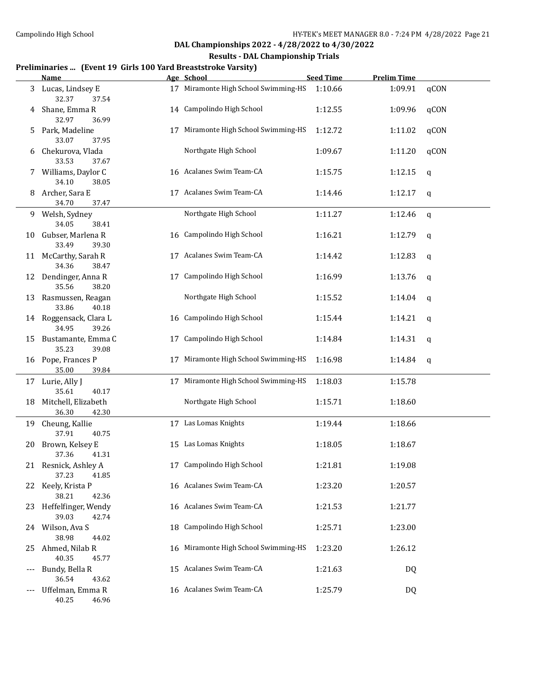#### **Results - DAL Championship Trials**

#### **Preliminaries ... (Event 19 Girls 100 Yard Breaststroke Varsity)**

|       | <b>Name</b>                              |    | Age School                           | <b>Seed Time</b> | <b>Prelim Time</b> |      |
|-------|------------------------------------------|----|--------------------------------------|------------------|--------------------|------|
| 3     | Lucas, Lindsey E<br>32.37<br>37.54       |    | 17 Miramonte High School Swimming-HS | 1:10.66          | 1:09.91            | qCON |
| 4     | Shane, Emma R<br>32.97<br>36.99          |    | 14 Campolindo High School            | 1:12.55          | 1:09.96            | qCON |
| 5     | Park, Madeline<br>33.07<br>37.95         | 17 | Miramonte High School Swimming-HS    | 1:12.72          | 1:11.02            | qCON |
| 6     | Chekurova, Vlada<br>33.53<br>37.67       |    | Northgate High School                | 1:09.67          | 1:11.20            | qCON |
|       | Williams, Daylor C<br>34.10<br>38.05     |    | 16 Acalanes Swim Team-CA             | 1:15.75          | 1:12.15            | q    |
| 8     | Archer, Sara E                           |    | 17 Acalanes Swim Team-CA             | 1:14.46          | 1:12.17            | q    |
|       | 34.70<br>37.47                           |    |                                      |                  |                    |      |
|       | 9 Welsh, Sydney<br>34.05<br>38.41        |    | Northgate High School                | 1:11.27          | 1:12.46            | q    |
| 10    | Gubser, Marlena R<br>33.49<br>39.30      |    | 16 Campolindo High School            | 1:16.21          | 1:12.79            | q    |
| 11    | McCarthy, Sarah R<br>34.36<br>38.47      |    | 17 Acalanes Swim Team-CA             | 1:14.42          | 1:12.83            | q    |
| 12    | Dendinger, Anna R<br>35.56<br>38.20      |    | 17 Campolindo High School            | 1:16.99          | 1:13.76            | q    |
| 13    | Rasmussen, Reagan<br>33.86<br>40.18      |    | Northgate High School                | 1:15.52          | 1:14.04            | q    |
|       | 14 Roggensack, Clara L<br>34.95<br>39.26 |    | 16 Campolindo High School            | 1:15.44          | 1:14.21            | q    |
| 15    | Bustamante, Emma C<br>35.23<br>39.08     | 17 | Campolindo High School               | 1:14.84          | 1:14.31            | q    |
| 16    | Pope, Frances P<br>39.84<br>35.00        | 17 | Miramonte High School Swimming-HS    | 1:16.98          | 1:14.84            | q    |
|       | 17 Lurie, Ally J<br>35.61<br>40.17       |    | 17 Miramonte High School Swimming-HS | 1:18.03          | 1:15.78            |      |
| 18    | Mitchell, Elizabeth<br>36.30<br>42.30    |    | Northgate High School                | 1:15.71          | 1:18.60            |      |
|       | 19 Cheung, Kallie                        |    | 17 Las Lomas Knights                 | 1:19.44          | 1:18.66            |      |
|       | 37.91<br>40.75                           |    |                                      |                  |                    |      |
| 20    | Brown, Kelsey E<br>37.36<br>41.31        |    | 15 Las Lomas Knights                 | 1:18.05          | 1:18.67            |      |
|       | 21 Resnick, Ashley A<br>37.23<br>41.85   |    | 17 Campolindo High School            | 1:21.81          | 1:19.08            |      |
|       | 22 Keely, Krista P<br>38.21<br>42.36     |    | 16 Acalanes Swim Team-CA             | 1:23.20          | 1:20.57            |      |
| 23.   | Heffelfinger, Wendy<br>39.03<br>42.74    |    | 16 Acalanes Swim Team-CA             | 1:21.53          | 1:21.77            |      |
|       | 24 Wilson, Ava S                         |    | 18 Campolindo High School            | 1:25.71          | 1:23.00            |      |
| 25    | 38.98<br>44.02<br>Ahmed, Nilab R         |    | 16 Miramonte High School Swimming-HS | 1:23.20          | 1:26.12            |      |
| $---$ | 40.35<br>45.77<br>Bundy, Bella R         |    | 15 Acalanes Swim Team-CA             | 1:21.63          | DQ                 |      |
|       | 36.54<br>43.62                           |    |                                      |                  |                    |      |
|       | Uffelman, Emma R<br>40.25<br>46.96       |    | 16 Acalanes Swim Team-CA             | 1:25.79          | DQ                 |      |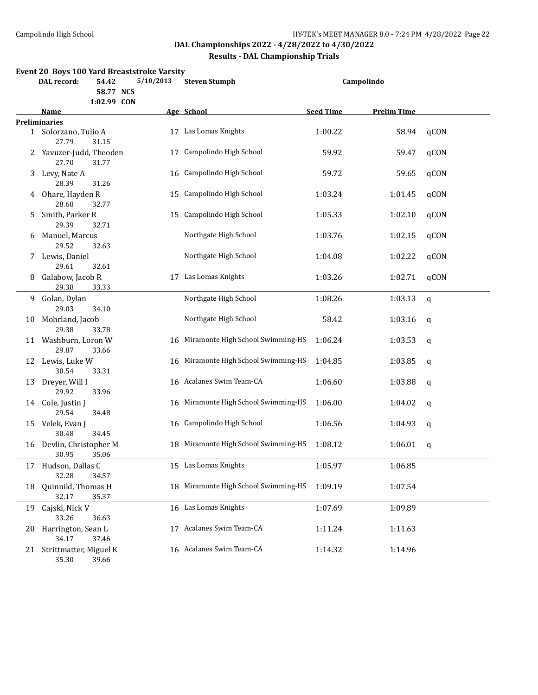#### **Results - DAL Championship Trials**

|    | DAL record:                      | 54.42<br>58.77 NCS<br>1:02.99 CON | Event 20 Boys 100 Yard Breaststroke Varsity<br>5/10/2013 | <b>Steven Stumph</b>                 | Campolindo       |                    |             |
|----|----------------------------------|-----------------------------------|----------------------------------------------------------|--------------------------------------|------------------|--------------------|-------------|
|    | <u>Name</u>                      |                                   |                                                          | Age School                           | <b>Seed Time</b> | <b>Prelim Time</b> |             |
|    | <b>Preliminaries</b>             |                                   |                                                          |                                      |                  |                    |             |
|    | 1 Solorzano, Tulio A<br>27.79    | 31.15                             |                                                          | 17 Las Lomas Knights                 | 1:00.22          | 58.94              | qCON        |
|    | 2 Yavuzer-Judd, Theoden<br>27.70 | 31.77                             | 17                                                       | Campolindo High School               | 59.92            | 59.47              | qCON        |
| 3  | Levy, Nate A<br>28.39            | 31.26                             | 16                                                       | Campolindo High School               | 59.72            | 59.65              | qCON        |
| 4  | Ohare, Hayden R<br>28.68         | 32.77                             | 15                                                       | Campolindo High School               | 1:03.24          | 1:01.45            | qCON        |
| 5. | Smith, Parker R<br>29.39         | 32.71                             | 15                                                       | Campolindo High School               | 1:05.33          | 1:02.10            | qCON        |
| 6  | Manuel, Marcus<br>29.52          | 32.63                             |                                                          | Northgate High School                | 1:03.76          | 1:02.15            | qCON        |
| 7. | Lewis, Daniel<br>29.61           | 32.61                             |                                                          | Northgate High School                | 1:04.08          | 1:02.22            | qCON        |
| 8  | Galabow, Jacob R<br>29.38        | 33.33                             |                                                          | 17 Las Lomas Knights                 | 1:03.26          | 1:02.71            | qCON        |
| 9  | Golan, Dylan<br>29.03            | 34.10                             |                                                          | Northgate High School                | 1:08.26          | 1:03.13            | $\mathbf q$ |
| 10 | Mohrland, Jacob<br>29.38         | 33.78                             |                                                          | Northgate High School                | 58.42            | 1:03.16            | q           |
|    | 11 Washburn, Loron W<br>29.87    | 33.66                             |                                                          | 16 Miramonte High School Swimming-HS | 1:06.24          | 1:03.53            | q           |
|    | 12 Lewis, Luke W<br>30.54        | 33.31                             |                                                          | 16 Miramonte High School Swimming-HS | 1:04.85          | 1:03.85            | q           |
| 13 | Dreyer, Will I<br>29.92          | 33.96                             |                                                          | 16 Acalanes Swim Team-CA             | 1:06.60          | 1:03.88            | q           |
|    | 14 Cole, Justin J<br>29.54       | 34.48                             |                                                          | 16 Miramonte High School Swimming-HS | 1:06.00          | 1:04.02            | q           |
| 15 | Velek, Evan J<br>30.48           | 34.45                             |                                                          | 16 Campolindo High School            | 1:06.56          | 1:04.93            | q           |
| 16 | Devlin, Christopher M<br>30.95   | 35.06                             |                                                          | 18 Miramonte High School Swimming-HS | 1:08.12          | 1:06.01            | q           |
| 17 | Hudson, Dallas C<br>32.28        | 34.57                             |                                                          | 15 Las Lomas Knights                 | 1:05.97          | 1:06.85            |             |
| 18 | Quinnild, Thomas H<br>32.17      | 35.37                             |                                                          | 18 Miramonte High School Swimming-HS | 1:09.19          | 1:07.54            |             |
| 19 | Cajski, Nick V<br>33.26          | 36.63                             |                                                          | 16 Las Lomas Knights                 | 1:07.69          | 1:09.89            |             |
| 20 | Harrington, Sean L<br>34.17      | 37.46                             |                                                          | 17 Acalanes Swim Team-CA             | 1:11.24          | 1:11.63            |             |
|    | 21 Strittmatter, Miguel K        |                                   |                                                          | 16 Acalanes Swim Team-CA             | 1:14.32          | 1:14.96            |             |

11 ttmatter, miguel<br>35.30 39.66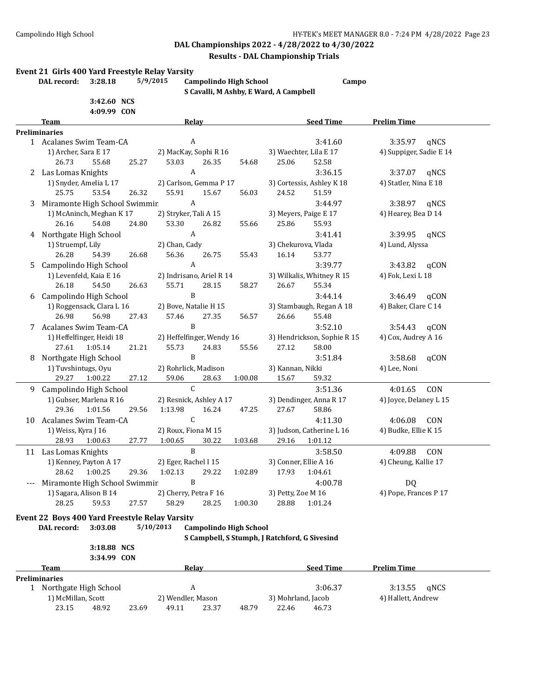#### **Results - DAL Championship Trials**

#### **Event 21 Girls 400 Yard Freestyle Relay Varsity**

**DAL record: 3:28.18 5/9/2015 Campolindo High School Campo S Cavalli, M Ashby, E Ward, A Campbell**

|   | 3:42.60 NCS<br>4:09.99 CON                     |                                            |                                               |                             |  |  |
|---|------------------------------------------------|--------------------------------------------|-----------------------------------------------|-----------------------------|--|--|
|   | Team                                           | Relay                                      | <b>Seed Time</b>                              | <b>Prelim Time</b>          |  |  |
|   | <b>Preliminaries</b>                           |                                            |                                               |                             |  |  |
|   | 1 Acalanes Swim Team-CA                        | A                                          | 3:41.60                                       | 3:35.97<br>qNCS             |  |  |
|   | 1) Archer, Sara E 17                           | 2) MacKay, Sophi R 16                      | 3) Waechter, Lila E 17                        | 4) Suppiger, Sadie E 14     |  |  |
|   | 26.73<br>55.68<br>25.27                        | 26.35<br>53.03<br>54.68                    | 25.06<br>52.58                                |                             |  |  |
|   | 2 Las Lomas Knights                            | $\boldsymbol{A}$                           | 3:36.15                                       | 3:37.07<br>qNCS             |  |  |
|   | 1) Snyder, Amelia L 17                         | 2) Carlson, Gemma P 17                     | 3) Cortessis, Ashley K 18                     | 4) Statler, Nina E 18       |  |  |
|   | 25.75<br>53.54<br>26.32                        | 55.91<br>15.67<br>56.03                    | 24.52<br>51.59                                |                             |  |  |
| 3 | Miramonte High School Swimmir                  | A                                          | 3:44.97                                       | 3:38.97<br>qNCS             |  |  |
|   | 1) McAninch, Meghan K 17                       | 2) Stryker, Tali A 15                      | 3) Meyers, Paige E 17                         | 4) Hearey, Bea D 14         |  |  |
|   | 26.16<br>24.80<br>54.08                        | 53.30<br>26.82<br>55.66                    | 25.86<br>55.93                                |                             |  |  |
|   | 4 Northgate High School                        | A                                          | 3:41.41                                       | 3:39.95<br>qNCS             |  |  |
|   | 1) Struempf, Lily                              | 2) Chan, Cady                              | 3) Chekurova, Vlada                           | 4) Lund, Alyssa             |  |  |
|   | 26.28<br>54.39<br>26.68                        | 56.36<br>26.75<br>55.43                    | 16.14<br>53.77                                |                             |  |  |
| 5 | Campolindo High School                         | A                                          | 3:39.77                                       | 3:43.82<br>qCON             |  |  |
|   | 1) Levenfeld, Kaia E 16                        | 2) Indrisano, Ariel R 14                   | 3) Wilkalis, Whitney R 15                     | 4) Fok, Lexi L 18           |  |  |
|   | 26.18<br>54.50<br>26.63                        | 55.71<br>28.15<br>58.27                    | 55.34<br>26.67                                |                             |  |  |
| 6 | Campolindo High School                         | B                                          | 3:44.14                                       | 3:46.49<br>qCON             |  |  |
|   | 1) Roggensack, Clara L 16                      | 2) Bove, Natalie H 15                      | 3) Stambaugh, Regan A 18                      | 4) Baker, Clare C 14        |  |  |
|   | 26.98<br>56.98<br>27.43                        | 57.46<br>27.35<br>56.57                    | 26.66<br>55.48                                |                             |  |  |
|   | 7 Acalanes Swim Team-CA                        | B                                          | 3:52.10                                       | 3:54.43<br>qCON             |  |  |
|   | 1) Heffelfinger, Heidi 18                      | 2) Heffelfinger, Wendy 16                  | 3) Hendrickson, Sophie R 15                   | 4) Cox, Audrey A 16         |  |  |
|   | 27.61<br>1:05.14<br>21.21                      | 55.73<br>24.83<br>55.56                    | 27.12<br>58.00                                |                             |  |  |
| 8 | Northgate High School                          | B                                          | 3:51.84                                       | 3:58.68<br>qCON             |  |  |
|   | 1) Tuvshintugs, Oyu                            | 2) Rohrlick, Madison                       | 3) Kannan, Nikki                              | 4) Lee, Noni                |  |  |
|   | 29.27<br>1:00.22<br>27.12                      | 59.06<br>28.63<br>1:00.08                  | 59.32<br>15.67                                |                             |  |  |
|   | 9 Campolindo High School                       | $\mathcal{C}$                              | 3:51.36                                       | 4:01.65<br>CON              |  |  |
|   | 1) Gubser, Marlena R 16                        | 2) Resnick, Ashley A 17                    | 3) Dendinger, Anna R 17                       | 4) Joyce, Delaney L 15      |  |  |
|   | 29.36<br>1:01.56<br>29.56                      | 16.24<br>47.25<br>1:13.98                  | 27.67<br>58.86                                |                             |  |  |
|   | 10 Acalanes Swim Team-CA                       | C                                          | 4:11.30                                       | 4:06.08<br>CON              |  |  |
|   | 1) Weiss, Kyra J 16                            | 2) Roux, Fiona M 15                        | 3) Judson, Catherine L 16                     | 4) Budke, Ellie K 15        |  |  |
|   | 28.93<br>1:00.63<br>27.77                      | 1:00.65<br>30.22<br>1:03.68                | 29.16<br>1:01.12                              |                             |  |  |
|   |                                                | $\mathbf{B}$                               | 3:58.50                                       | 4:09.88                     |  |  |
|   | 11 Las Lomas Knights<br>1) Kenney, Payton A 17 | 2) Eger, Rachel I 15                       | 3) Conner, Ellie A 16                         | CON<br>4) Cheung, Kallie 17 |  |  |
|   | 28.62<br>1:00.25<br>29.36                      | 1:02.13<br>29.22<br>1:02.89                | 17.93<br>1:04.61                              |                             |  |  |
|   |                                                | B                                          |                                               |                             |  |  |
|   | Miramonte High School Swimmir                  |                                            | 4:00.78<br>3) Petty, Zoe M 16                 | DQ<br>4) Pope, Frances P 17 |  |  |
|   | 1) Sagara, Alison B 14                         | 2) Cherry, Petra F 16                      |                                               |                             |  |  |
|   | 28.25<br>59.53<br>27.57                        | 58.29<br>28.25<br>1:00.30                  | 28.88<br>1:01.24                              |                             |  |  |
|   | Event 22 Boys 400 Yard Freestyle Relay Varsity |                                            |                                               |                             |  |  |
|   | DAL record:<br>3:03.08                         | 5/10/2013<br><b>Campolindo High School</b> |                                               |                             |  |  |
|   |                                                |                                            | S Campbell, S Stumph, J Ratchford, G Sivesind |                             |  |  |
|   | 3:18.88 NCS                                    |                                            |                                               |                             |  |  |
|   | 3:34.99 CON                                    |                                            |                                               |                             |  |  |
|   | <b>Team</b>                                    | <b>Relay</b>                               | <b>Seed Time</b>                              | <b>Prelim Time</b>          |  |  |
|   | <b>Preliminaries</b>                           |                                            |                                               |                             |  |  |
|   | 1 Northgate High School                        | $\boldsymbol{\mathsf{A}}$                  | 3:06.37                                       | 3:13.55<br>qNCS             |  |  |
|   | 1) McMillan, Scott                             | 2) Wendler, Mason                          | 3) Mohrland, Jacob                            | 4) Hallett, Andrew          |  |  |

23.15 48.92 23.69 49.11 23.37 48.79 22.46 46.73